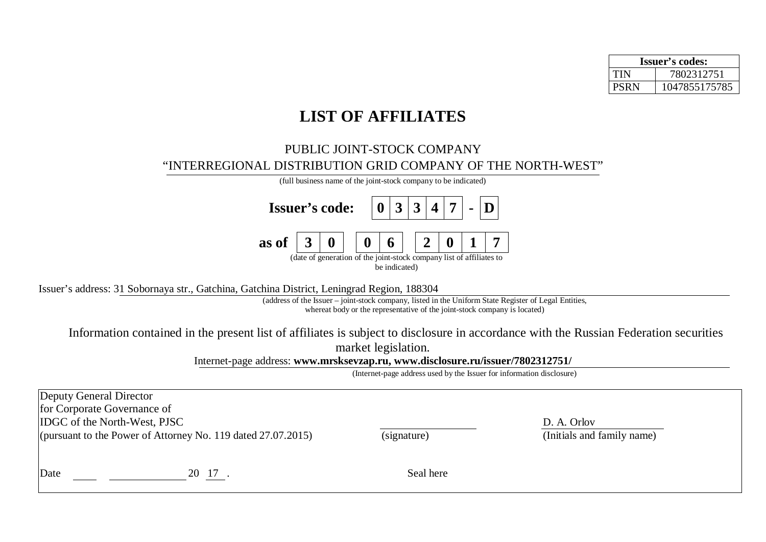| <b>Issuer's codes:</b> |               |  |  |  |  |
|------------------------|---------------|--|--|--|--|
| TIN                    | 7802312751    |  |  |  |  |
| <b>PSRN</b>            | 1047855175785 |  |  |  |  |

## **LIST OF AFFILIATES**

## PUBLIC JOINT-STOCK COMPANY "INTERREGIONAL DISTRIBUTION GRID COMPANY OF THE NORTH-WEST"

|                                                       | (full business name of the joint-stock company to be indicated) |  |                                                                      |  |               |  |  |  |
|-------------------------------------------------------|-----------------------------------------------------------------|--|----------------------------------------------------------------------|--|---------------|--|--|--|
| <b>Issuer's code:</b> $ 0 3 3 4 7 $ - $ D $           |                                                                 |  |                                                                      |  |               |  |  |  |
| as of $\vert 3 \vert 0 \vert$   0   6   2   0   1   7 |                                                                 |  |                                                                      |  |               |  |  |  |
|                                                       |                                                                 |  | (date of generation of the joint-stock company list of affiliates to |  | be indicated) |  |  |  |

Issuer's address: 31 Sobornaya str., Gatchina, Gatchina District, Leningrad Region, 188304

(address of the Issuer – joint-stock company, listed in the Uniform State Register of Legal Entities, whereat body or the representative of the joint-stock company is located)

Information contained in the present list of affiliates is subject to disclosure in accordance with the Russian Federation securities market legislation.

Internet-page address: **[www.mrsksevzap.ru](http://www.mrsksevzap.ru), [www.disclosure.ru/issuer/7802312751/](http://www.disclosure.ru/issuer/7802312751/)**

(Internet-page address used by the Issuer for information disclosure)

| Deputy General Director<br>for Corporate Governance of<br><b>IDGC</b> of the North-West, PJSC | (pursuant to the Power of Attorney No. 119 dated 27.07.2015) | (signature) | D. A. Orlov<br>(Initials and family name) |  |
|-----------------------------------------------------------------------------------------------|--------------------------------------------------------------|-------------|-------------------------------------------|--|
| Date                                                                                          | 20 17                                                        | Seal here   |                                           |  |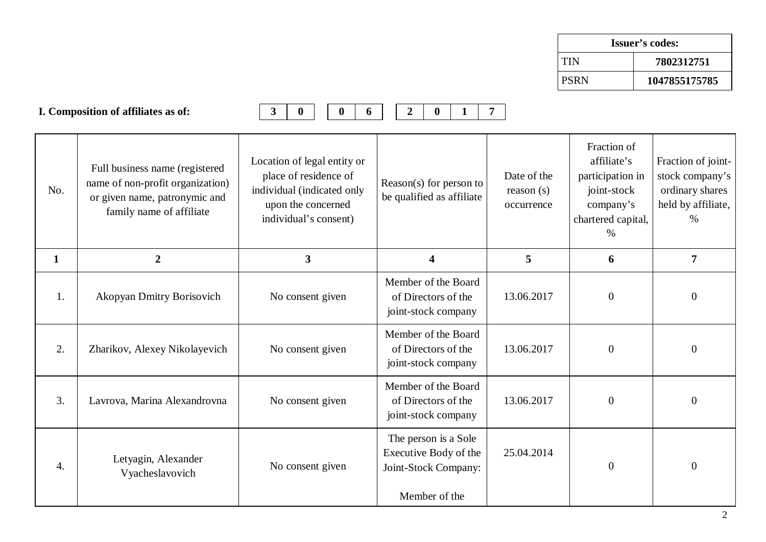| <b>Issuer's codes:</b>   |               |  |  |  |
|--------------------------|---------------|--|--|--|
| <b>TIN</b><br>7802312751 |               |  |  |  |
| I PSRN                   | 1047855175785 |  |  |  |

|              | I. Composition of affiliates as of:                                                                                             | $\mathbf{3}$<br>$\bf{0}$<br>$\bf{0}$<br>6                                                                                         | $\overline{2}$<br>$\mathbf{0}$                                                         | $\overline{7}$                         |                                                                                                          |                                                                                        |
|--------------|---------------------------------------------------------------------------------------------------------------------------------|-----------------------------------------------------------------------------------------------------------------------------------|----------------------------------------------------------------------------------------|----------------------------------------|----------------------------------------------------------------------------------------------------------|----------------------------------------------------------------------------------------|
| No.          | Full business name (registered<br>name of non-profit organization)<br>or given name, patronymic and<br>family name of affiliate | Location of legal entity or<br>place of residence of<br>individual (indicated only<br>upon the concerned<br>individual's consent) | Reason(s) for person to<br>be qualified as affiliate                                   | Date of the<br>reason(s)<br>occurrence | Fraction of<br>affiliate's<br>participation in<br>joint-stock<br>company's<br>chartered capital,<br>$\%$ | Fraction of joint-<br>stock company's<br>ordinary shares<br>held by affiliate,<br>$\%$ |
| $\mathbf{1}$ | $\overline{2}$                                                                                                                  | 3                                                                                                                                 | $\overline{\mathbf{4}}$                                                                | 5                                      | 6                                                                                                        | 7                                                                                      |
| 1.           | Akopyan Dmitry Borisovich                                                                                                       | No consent given                                                                                                                  | Member of the Board<br>of Directors of the<br>joint-stock company                      | 13.06.2017                             | $\overline{0}$                                                                                           | $\boldsymbol{0}$                                                                       |
| 2.           | Zharikov, Alexey Nikolayevich                                                                                                   | No consent given                                                                                                                  | Member of the Board<br>of Directors of the<br>joint-stock company                      | 13.06.2017                             | $\boldsymbol{0}$                                                                                         | $\mathbf{0}$                                                                           |
| 3.           | Lavrova, Marina Alexandrovna                                                                                                    | No consent given                                                                                                                  | Member of the Board<br>of Directors of the<br>joint-stock company                      | 13.06.2017                             | $\overline{0}$                                                                                           | $\boldsymbol{0}$                                                                       |
| 4.           | Letyagin, Alexander<br>Vyacheslavovich                                                                                          | No consent given                                                                                                                  | The person is a Sole<br>Executive Body of the<br>Joint-Stock Company:<br>Member of the | 25.04.2014                             | $\boldsymbol{0}$                                                                                         | $\boldsymbol{0}$                                                                       |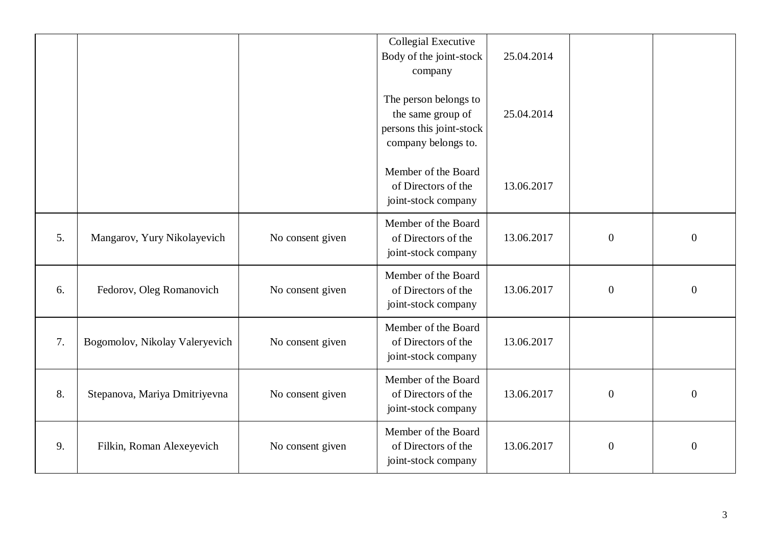|    |                                |                  | <b>Collegial Executive</b><br>Body of the joint-stock<br>company<br>The person belongs to<br>the same group of<br>persons this joint-stock<br>company belongs to. | 25.04.2014<br>25.04.2014 |                  |                  |
|----|--------------------------------|------------------|-------------------------------------------------------------------------------------------------------------------------------------------------------------------|--------------------------|------------------|------------------|
|    |                                |                  | Member of the Board<br>of Directors of the<br>joint-stock company                                                                                                 | 13.06.2017               |                  |                  |
| 5. | Mangarov, Yury Nikolayevich    | No consent given | Member of the Board<br>of Directors of the<br>joint-stock company                                                                                                 | 13.06.2017               | $\overline{0}$   | $\boldsymbol{0}$ |
| 6. | Fedorov, Oleg Romanovich       | No consent given | Member of the Board<br>of Directors of the<br>joint-stock company                                                                                                 | 13.06.2017               | $\boldsymbol{0}$ | $\boldsymbol{0}$ |
| 7. | Bogomolov, Nikolay Valeryevich | No consent given | Member of the Board<br>of Directors of the<br>joint-stock company                                                                                                 | 13.06.2017               |                  |                  |
| 8. | Stepanova, Mariya Dmitriyevna  | No consent given | Member of the Board<br>of Directors of the<br>joint-stock company                                                                                                 | 13.06.2017               | $\boldsymbol{0}$ | $\boldsymbol{0}$ |
| 9. | Filkin, Roman Alexeyevich      | No consent given | Member of the Board<br>of Directors of the<br>joint-stock company                                                                                                 | 13.06.2017               | $\overline{0}$   | $\overline{0}$   |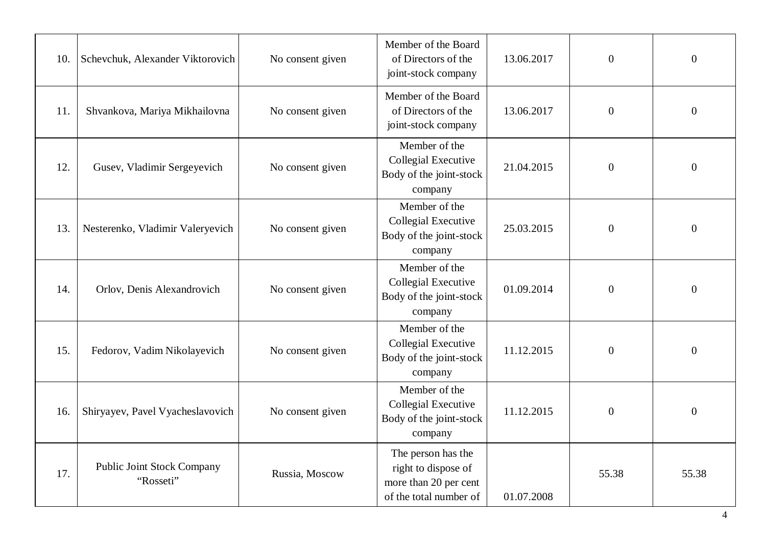| 10. | Schevchuk, Alexander Viktorovich               | No consent given | Member of the Board<br>of Directors of the<br>joint-stock company                            | 13.06.2017 | $\overline{0}$   | $\boldsymbol{0}$ |
|-----|------------------------------------------------|------------------|----------------------------------------------------------------------------------------------|------------|------------------|------------------|
| 11. | Shvankova, Mariya Mikhailovna                  | No consent given | Member of the Board<br>of Directors of the<br>joint-stock company                            | 13.06.2017 | $\boldsymbol{0}$ | $\boldsymbol{0}$ |
| 12. | Gusev, Vladimir Sergeyevich                    | No consent given | Member of the<br>Collegial Executive<br>Body of the joint-stock<br>company                   | 21.04.2015 | $\boldsymbol{0}$ | $\boldsymbol{0}$ |
| 13. | Nesterenko, Vladimir Valeryevich               | No consent given | Member of the<br>Collegial Executive<br>Body of the joint-stock<br>company                   | 25.03.2015 | $\overline{0}$   | $\boldsymbol{0}$ |
| 14. | Orlov, Denis Alexandrovich                     | No consent given | Member of the<br><b>Collegial Executive</b><br>Body of the joint-stock<br>company            | 01.09.2014 | $\boldsymbol{0}$ | $\boldsymbol{0}$ |
| 15. | Fedorov, Vadim Nikolayevich                    | No consent given | Member of the<br>Collegial Executive<br>Body of the joint-stock<br>company                   | 11.12.2015 | $\boldsymbol{0}$ | $\boldsymbol{0}$ |
| 16. | Shiryayev, Pavel Vyacheslavovich               | No consent given | Member of the<br>Collegial Executive<br>Body of the joint-stock<br>company                   | 11.12.2015 | $\boldsymbol{0}$ | $\boldsymbol{0}$ |
| 17. | <b>Public Joint Stock Company</b><br>"Rosseti" | Russia, Moscow   | The person has the<br>right to dispose of<br>more than 20 per cent<br>of the total number of | 01.07.2008 | 55.38            | 55.38            |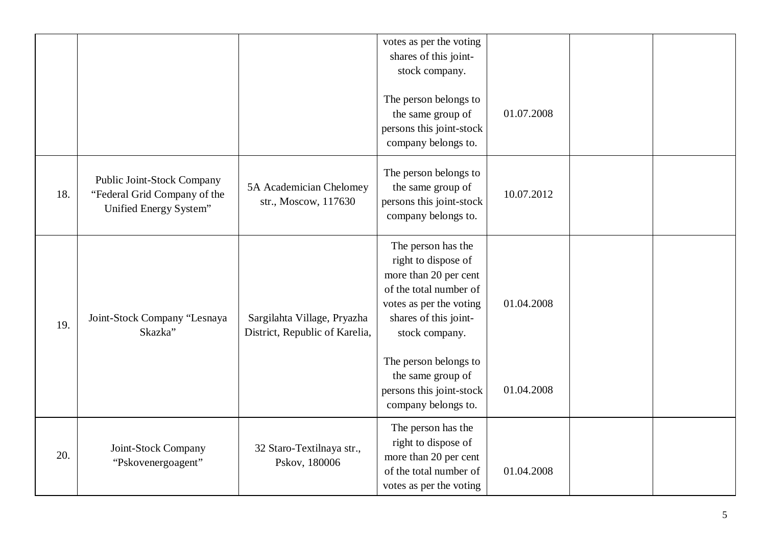|     |                                                                                      |                                                               | votes as per the voting<br>shares of this joint-<br>stock company.<br>The person belongs to<br>the same group of<br>persons this joint-stock<br>company belongs to.                                                                                                 | 01.07.2008               |  |
|-----|--------------------------------------------------------------------------------------|---------------------------------------------------------------|---------------------------------------------------------------------------------------------------------------------------------------------------------------------------------------------------------------------------------------------------------------------|--------------------------|--|
| 18. | Public Joint-Stock Company<br>"Federal Grid Company of the<br>Unified Energy System" | 5A Academician Chelomey<br>str., Moscow, 117630               | The person belongs to<br>the same group of<br>persons this joint-stock<br>company belongs to.                                                                                                                                                                       | 10.07.2012               |  |
| 19. | Joint-Stock Company "Lesnaya<br>Skazka"                                              | Sargilahta Village, Pryazha<br>District, Republic of Karelia, | The person has the<br>right to dispose of<br>more than 20 per cent<br>of the total number of<br>votes as per the voting<br>shares of this joint-<br>stock company.<br>The person belongs to<br>the same group of<br>persons this joint-stock<br>company belongs to. | 01.04.2008<br>01.04.2008 |  |
| 20. | Joint-Stock Company<br>"Pskovenergoagent"                                            | 32 Staro-Textilnaya str.,<br>Pskov, 180006                    | The person has the<br>right to dispose of<br>more than 20 per cent<br>of the total number of<br>votes as per the voting                                                                                                                                             | 01.04.2008               |  |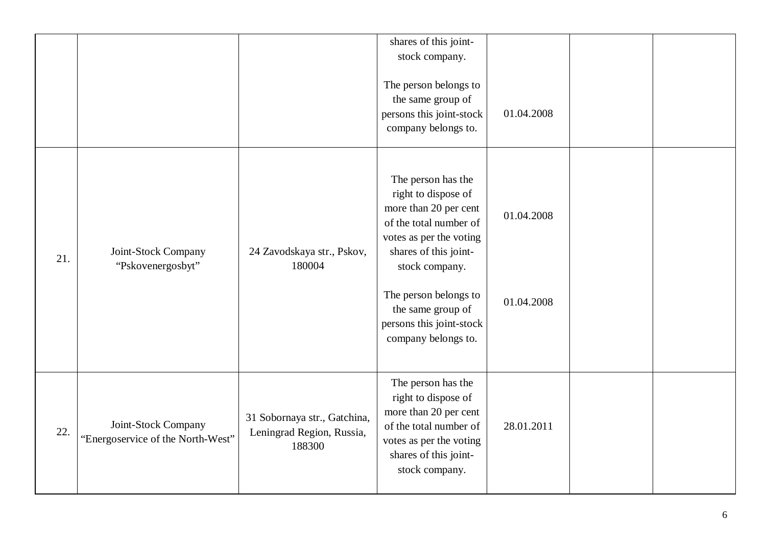|     |                                                          |                                                                     | shares of this joint-<br>stock company.<br>The person belongs to<br>the same group of<br>persons this joint-stock<br>company belongs to.                                                                                                                            | 01.04.2008               |  |
|-----|----------------------------------------------------------|---------------------------------------------------------------------|---------------------------------------------------------------------------------------------------------------------------------------------------------------------------------------------------------------------------------------------------------------------|--------------------------|--|
| 21. | Joint-Stock Company<br>"Pskovenergosbyt"                 | 24 Zavodskaya str., Pskov,<br>180004                                | The person has the<br>right to dispose of<br>more than 20 per cent<br>of the total number of<br>votes as per the voting<br>shares of this joint-<br>stock company.<br>The person belongs to<br>the same group of<br>persons this joint-stock<br>company belongs to. | 01.04.2008<br>01.04.2008 |  |
| 22. | Joint-Stock Company<br>"Energoservice of the North-West" | 31 Sobornaya str., Gatchina,<br>Leningrad Region, Russia,<br>188300 | The person has the<br>right to dispose of<br>more than 20 per cent<br>of the total number of<br>votes as per the voting<br>shares of this joint-<br>stock company.                                                                                                  | 28.01.2011               |  |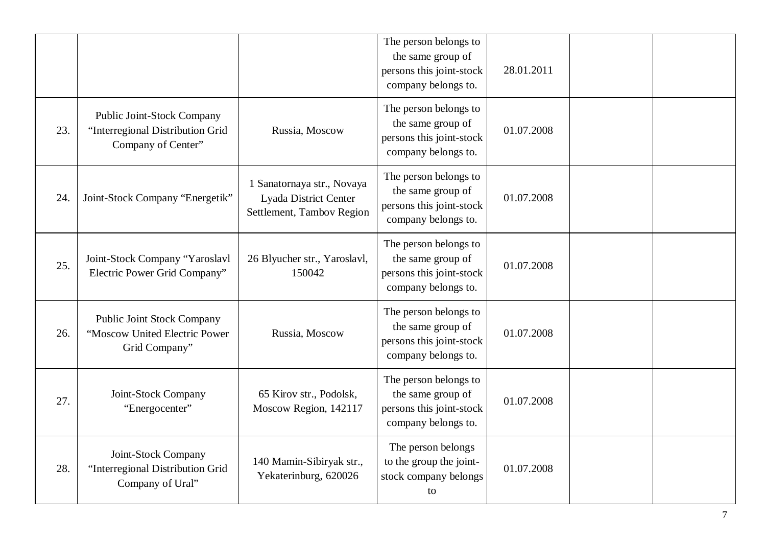|     |                                                                                      |                                                                                  | The person belongs to<br>the same group of<br>persons this joint-stock<br>company belongs to. | 28.01.2011 |  |
|-----|--------------------------------------------------------------------------------------|----------------------------------------------------------------------------------|-----------------------------------------------------------------------------------------------|------------|--|
| 23. | Public Joint-Stock Company<br>"Interregional Distribution Grid<br>Company of Center" | Russia, Moscow                                                                   | The person belongs to<br>the same group of<br>persons this joint-stock<br>company belongs to. | 01.07.2008 |  |
| 24. | Joint-Stock Company "Energetik"                                                      | 1 Sanatornaya str., Novaya<br>Lyada District Center<br>Settlement, Tambov Region | The person belongs to<br>the same group of<br>persons this joint-stock<br>company belongs to. | 01.07.2008 |  |
| 25. | Joint-Stock Company "Yaroslavl<br>Electric Power Grid Company"                       | 26 Blyucher str., Yaroslavl,<br>150042                                           | The person belongs to<br>the same group of<br>persons this joint-stock<br>company belongs to. | 01.07.2008 |  |
| 26. | <b>Public Joint Stock Company</b><br>"Moscow United Electric Power<br>Grid Company"  | Russia, Moscow                                                                   | The person belongs to<br>the same group of<br>persons this joint-stock<br>company belongs to. | 01.07.2008 |  |
| 27. | Joint-Stock Company<br>"Energocenter"                                                | 65 Kirov str., Podolsk,<br>Moscow Region, 142117                                 | The person belongs to<br>the same group of<br>persons this joint-stock<br>company belongs to. | 01.07.2008 |  |
| 28. | Joint-Stock Company<br>"Interregional Distribution Grid<br>Company of Ural"          | 140 Mamin-Sibiryak str.,<br>Yekaterinburg, 620026                                | The person belongs<br>to the group the joint-<br>stock company belongs<br>to                  | 01.07.2008 |  |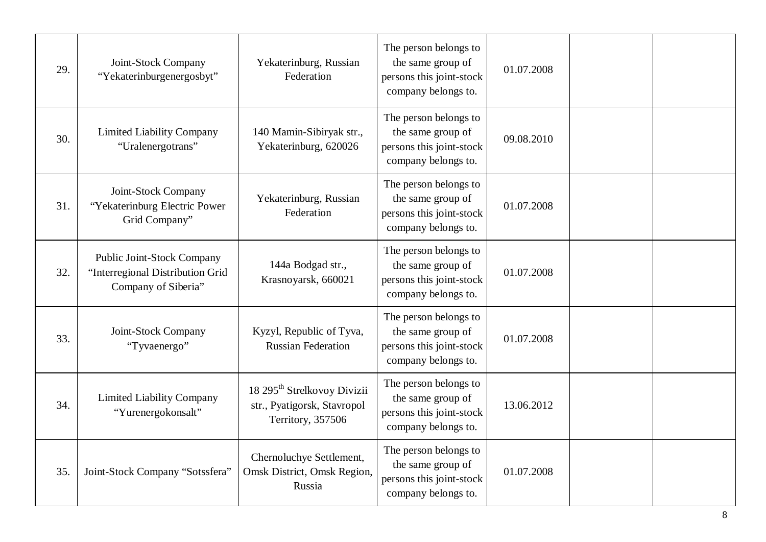| 29. | Joint-Stock Company<br>"Yekaterinburgenergosbyt"                                      | Yekaterinburg, Russian<br>Federation                                                        | The person belongs to<br>the same group of<br>persons this joint-stock<br>company belongs to. | 01.07.2008 |  |
|-----|---------------------------------------------------------------------------------------|---------------------------------------------------------------------------------------------|-----------------------------------------------------------------------------------------------|------------|--|
| 30. | <b>Limited Liability Company</b><br>"Uralenergotrans"                                 | 140 Mamin-Sibiryak str.,<br>Yekaterinburg, 620026                                           | The person belongs to<br>the same group of<br>persons this joint-stock<br>company belongs to. | 09.08.2010 |  |
| 31. | Joint-Stock Company<br>"Yekaterinburg Electric Power<br>Grid Company"                 | Yekaterinburg, Russian<br>Federation                                                        | The person belongs to<br>the same group of<br>persons this joint-stock<br>company belongs to. | 01.07.2008 |  |
| 32. | Public Joint-Stock Company<br>"Interregional Distribution Grid<br>Company of Siberia" | 144a Bodgad str.,<br>Krasnoyarsk, 660021                                                    | The person belongs to<br>the same group of<br>persons this joint-stock<br>company belongs to. | 01.07.2008 |  |
| 33. | Joint-Stock Company<br>"Tyvaenergo"                                                   | Kyzyl, Republic of Tyva,<br><b>Russian Federation</b>                                       | The person belongs to<br>the same group of<br>persons this joint-stock<br>company belongs to. | 01.07.2008 |  |
| 34. | <b>Limited Liability Company</b><br>"Yurenergokonsalt"                                | 18 295 <sup>th</sup> Strelkovoy Divizii<br>str., Pyatigorsk, Stavropol<br>Territory, 357506 | The person belongs to<br>the same group of<br>persons this joint-stock<br>company belongs to. | 13.06.2012 |  |
| 35. | Joint-Stock Company "Sotssfera"                                                       | Chernoluchye Settlement,<br>Omsk District, Omsk Region,<br>Russia                           | The person belongs to<br>the same group of<br>persons this joint-stock<br>company belongs to. | 01.07.2008 |  |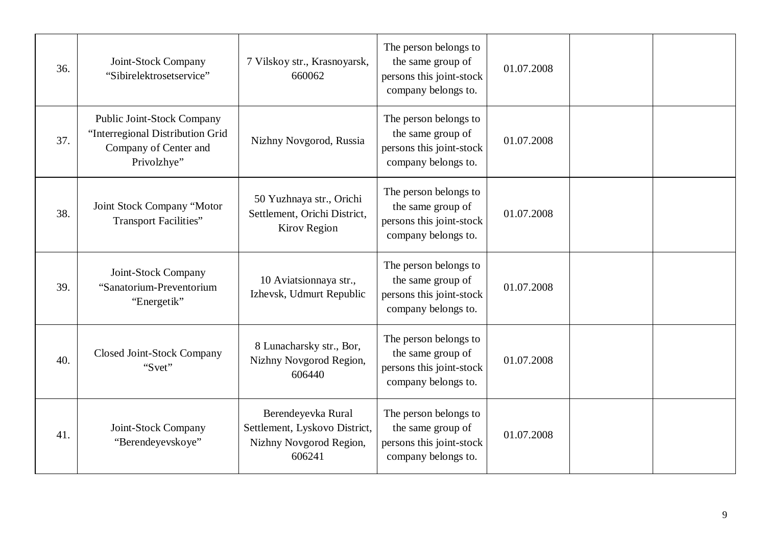| 36. | Joint-Stock Company<br>"Sibirelektrosetservice"                                                        | 7 Vilskoy str., Krasnoyarsk,<br>660062                                                   | The person belongs to<br>the same group of<br>persons this joint-stock<br>company belongs to. | 01.07.2008 |  |
|-----|--------------------------------------------------------------------------------------------------------|------------------------------------------------------------------------------------------|-----------------------------------------------------------------------------------------------|------------|--|
| 37. | Public Joint-Stock Company<br>"Interregional Distribution Grid<br>Company of Center and<br>Privolzhye" | Nizhny Novgorod, Russia                                                                  | The person belongs to<br>the same group of<br>persons this joint-stock<br>company belongs to. | 01.07.2008 |  |
| 38. | Joint Stock Company "Motor<br><b>Transport Facilities"</b>                                             | 50 Yuzhnaya str., Orichi<br>Settlement, Orichi District,<br>Kirov Region                 | The person belongs to<br>the same group of<br>persons this joint-stock<br>company belongs to. | 01.07.2008 |  |
| 39. | Joint-Stock Company<br>"Sanatorium-Preventorium<br>"Energetik"                                         | 10 Aviatsionnaya str.,<br>Izhevsk, Udmurt Republic                                       | The person belongs to<br>the same group of<br>persons this joint-stock<br>company belongs to. | 01.07.2008 |  |
| 40. | Closed Joint-Stock Company<br>"Svet"                                                                   | 8 Lunacharsky str., Bor,<br>Nizhny Novgorod Region,<br>606440                            | The person belongs to<br>the same group of<br>persons this joint-stock<br>company belongs to. | 01.07.2008 |  |
| 41. | Joint-Stock Company<br>"Berendeyevskoye"                                                               | Berendeyevka Rural<br>Settlement, Lyskovo District,<br>Nizhny Novgorod Region,<br>606241 | The person belongs to<br>the same group of<br>persons this joint-stock<br>company belongs to. | 01.07.2008 |  |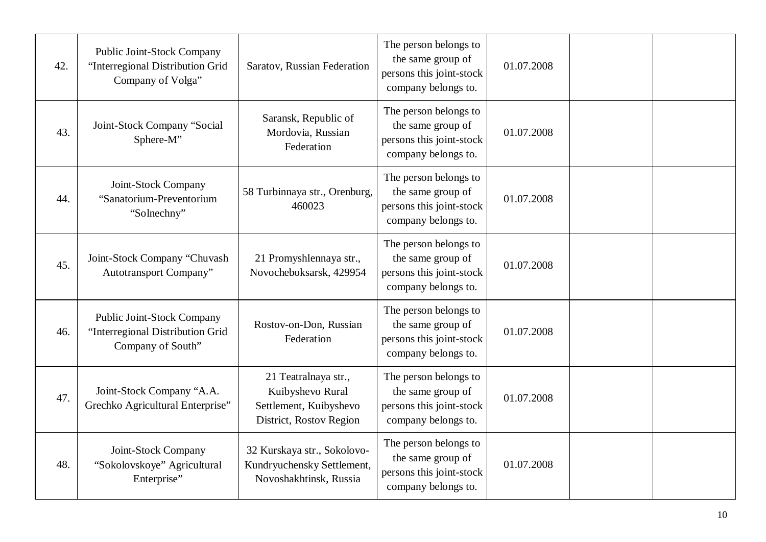| 42. | Public Joint-Stock Company<br>"Interregional Distribution Grid<br>Company of Volga" | Saratov, Russian Federation                                                                   | The person belongs to<br>the same group of<br>persons this joint-stock<br>company belongs to. | 01.07.2008 |  |
|-----|-------------------------------------------------------------------------------------|-----------------------------------------------------------------------------------------------|-----------------------------------------------------------------------------------------------|------------|--|
| 43. | Joint-Stock Company "Social<br>Sphere-M"                                            | Saransk, Republic of<br>Mordovia, Russian<br>Federation                                       | The person belongs to<br>the same group of<br>persons this joint-stock<br>company belongs to. | 01.07.2008 |  |
| 44. | Joint-Stock Company<br>"Sanatorium-Preventorium<br>"Solnechny"                      | 58 Turbinnaya str., Orenburg,<br>460023                                                       | The person belongs to<br>the same group of<br>persons this joint-stock<br>company belongs to. | 01.07.2008 |  |
| 45. | Joint-Stock Company "Chuvash<br>Autotransport Company"                              | 21 Promyshlennaya str.,<br>Novocheboksarsk, 429954                                            | The person belongs to<br>the same group of<br>persons this joint-stock<br>company belongs to. | 01.07.2008 |  |
| 46. | Public Joint-Stock Company<br>"Interregional Distribution Grid<br>Company of South" | Rostov-on-Don, Russian<br>Federation                                                          | The person belongs to<br>the same group of<br>persons this joint-stock<br>company belongs to. | 01.07.2008 |  |
| 47. | Joint-Stock Company "A.A.<br>Grechko Agricultural Enterprise"                       | 21 Teatralnaya str.,<br>Kuibyshevo Rural<br>Settlement, Kuibyshevo<br>District, Rostov Region | The person belongs to<br>the same group of<br>persons this joint-stock<br>company belongs to. | 01.07.2008 |  |
| 48. | Joint-Stock Company<br>"Sokolovskoye" Agricultural<br>Enterprise"                   | 32 Kurskaya str., Sokolovo-<br>Kundryuchensky Settlement,<br>Novoshakhtinsk, Russia           | The person belongs to<br>the same group of<br>persons this joint-stock<br>company belongs to. | 01.07.2008 |  |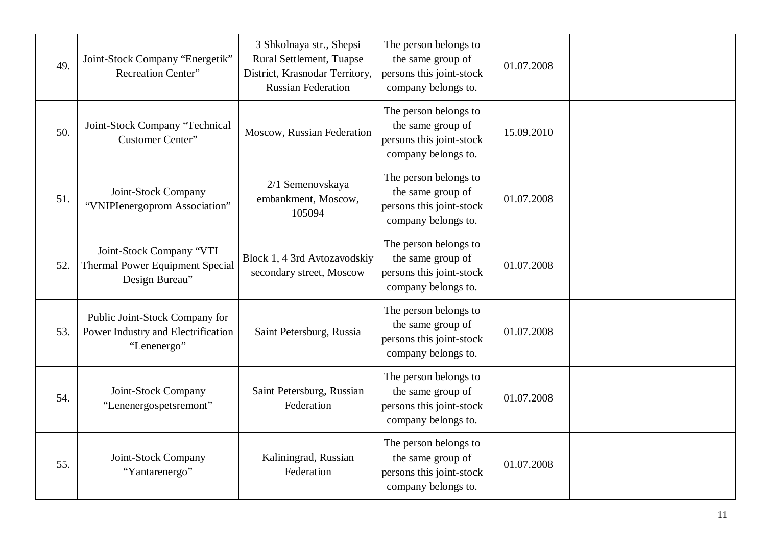| 49. | Joint-Stock Company "Energetik"<br><b>Recreation Center"</b>                         | 3 Shkolnaya str., Shepsi<br>Rural Settlement, Tuapse<br>District, Krasnodar Territory,<br><b>Russian Federation</b> | The person belongs to<br>the same group of<br>persons this joint-stock<br>company belongs to. | 01.07.2008 |  |
|-----|--------------------------------------------------------------------------------------|---------------------------------------------------------------------------------------------------------------------|-----------------------------------------------------------------------------------------------|------------|--|
| 50. | Joint-Stock Company "Technical<br>Customer Center"                                   | Moscow, Russian Federation                                                                                          | The person belongs to<br>the same group of<br>persons this joint-stock<br>company belongs to. | 15.09.2010 |  |
| 51. | Joint-Stock Company<br>"VNIPIenergoprom Association"                                 | 2/1 Semenovskaya<br>embankment, Moscow,<br>105094                                                                   | The person belongs to<br>the same group of<br>persons this joint-stock<br>company belongs to. | 01.07.2008 |  |
| 52. | Joint-Stock Company "VTI<br><b>Thermal Power Equipment Special</b><br>Design Bureau" | Block 1, 4 3rd Avtozavodskiy<br>secondary street, Moscow                                                            | The person belongs to<br>the same group of<br>persons this joint-stock<br>company belongs to. | 01.07.2008 |  |
| 53. | Public Joint-Stock Company for<br>Power Industry and Electrification<br>"Lenenergo"  | Saint Petersburg, Russia                                                                                            | The person belongs to<br>the same group of<br>persons this joint-stock<br>company belongs to. | 01.07.2008 |  |
| 54. | Joint-Stock Company<br>"Lenenergospetsremont"                                        | Saint Petersburg, Russian<br>Federation                                                                             | The person belongs to<br>the same group of<br>persons this joint-stock<br>company belongs to. | 01.07.2008 |  |
| 55. | Joint-Stock Company<br>"Yantarenergo"                                                | Kaliningrad, Russian<br>Federation                                                                                  | The person belongs to<br>the same group of<br>persons this joint-stock<br>company belongs to. | 01.07.2008 |  |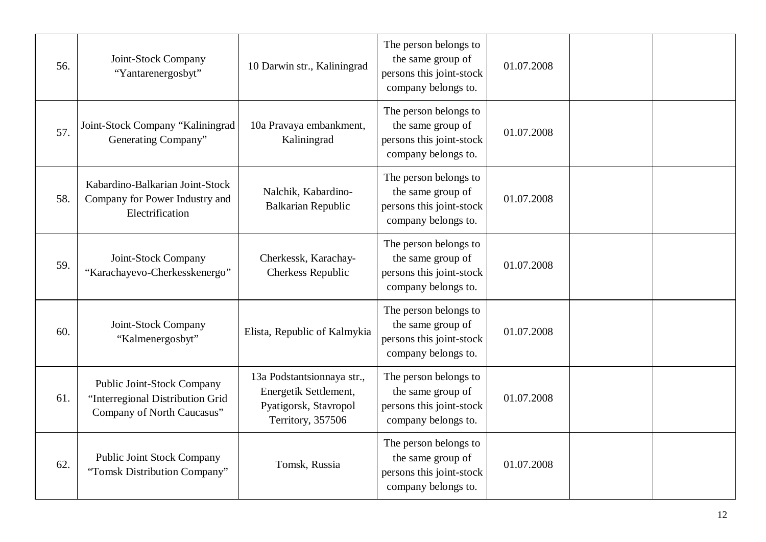| 56. | Joint-Stock Company<br>"Yantarenergosbyt"                                                           | 10 Darwin str., Kaliningrad                                                                       | The person belongs to<br>the same group of<br>persons this joint-stock<br>company belongs to. | 01.07.2008 |  |
|-----|-----------------------------------------------------------------------------------------------------|---------------------------------------------------------------------------------------------------|-----------------------------------------------------------------------------------------------|------------|--|
| 57. | Joint-Stock Company "Kaliningrad<br>Generating Company"                                             | 10a Pravaya embankment,<br>Kaliningrad                                                            | The person belongs to<br>the same group of<br>persons this joint-stock<br>company belongs to. | 01.07.2008 |  |
| 58. | Kabardino-Balkarian Joint-Stock<br>Company for Power Industry and<br>Electrification                | Nalchik, Kabardino-<br><b>Balkarian Republic</b>                                                  | The person belongs to<br>the same group of<br>persons this joint-stock<br>company belongs to. | 01.07.2008 |  |
| 59. | Joint-Stock Company<br>"Karachayevo-Cherkesskenergo"                                                | Cherkessk, Karachay-<br>Cherkess Republic                                                         | The person belongs to<br>the same group of<br>persons this joint-stock<br>company belongs to. | 01.07.2008 |  |
| 60. | Joint-Stock Company<br>"Kalmenergosbyt"                                                             | Elista, Republic of Kalmykia                                                                      | The person belongs to<br>the same group of<br>persons this joint-stock<br>company belongs to. | 01.07.2008 |  |
| 61. | <b>Public Joint-Stock Company</b><br>"Interregional Distribution Grid<br>Company of North Caucasus" | 13a Podstantsionnaya str.,<br>Energetik Settlement,<br>Pyatigorsk, Stavropol<br>Territory, 357506 | The person belongs to<br>the same group of<br>persons this joint-stock<br>company belongs to. | 01.07.2008 |  |
| 62. | <b>Public Joint Stock Company</b><br>"Tomsk Distribution Company"                                   | Tomsk, Russia                                                                                     | The person belongs to<br>the same group of<br>persons this joint-stock<br>company belongs to. | 01.07.2008 |  |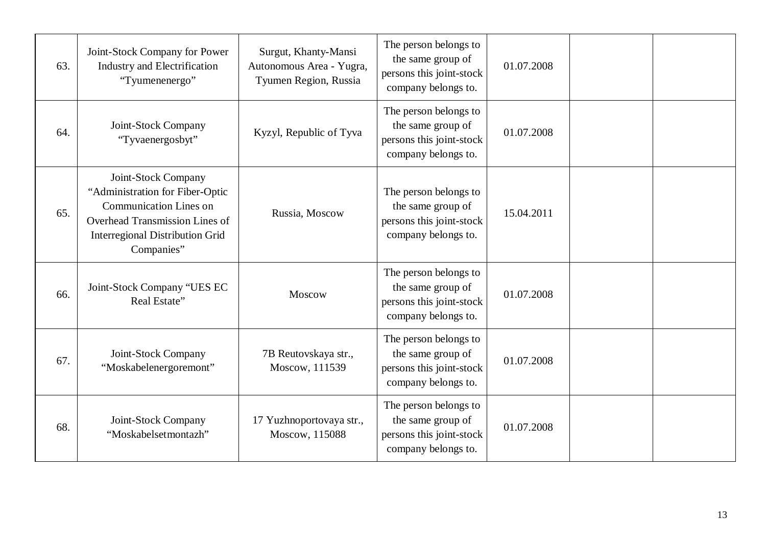| 63. | Joint-Stock Company for Power<br>Industry and Electrification<br>"Tyumenenergo"                                                                                                   | Surgut, Khanty-Mansi<br>Autonomous Area - Yugra,<br>Tyumen Region, Russia | The person belongs to<br>the same group of<br>persons this joint-stock<br>company belongs to. | 01.07.2008 |  |
|-----|-----------------------------------------------------------------------------------------------------------------------------------------------------------------------------------|---------------------------------------------------------------------------|-----------------------------------------------------------------------------------------------|------------|--|
| 64. | Joint-Stock Company<br>"Tyvaenergosbyt"                                                                                                                                           | Kyzyl, Republic of Tyva                                                   | The person belongs to<br>the same group of<br>persons this joint-stock<br>company belongs to. | 01.07.2008 |  |
| 65. | Joint-Stock Company<br>"Administration for Fiber-Optic<br><b>Communication Lines on</b><br>Overhead Transmission Lines of<br><b>Interregional Distribution Grid</b><br>Companies" | Russia, Moscow                                                            | The person belongs to<br>the same group of<br>persons this joint-stock<br>company belongs to. | 15.04.2011 |  |
| 66. | Joint-Stock Company "UES EC<br>Real Estate"                                                                                                                                       | Moscow                                                                    | The person belongs to<br>the same group of<br>persons this joint-stock<br>company belongs to. | 01.07.2008 |  |
| 67. | Joint-Stock Company<br>"Moskabelenergoremont"                                                                                                                                     | 7B Reutovskaya str.,<br>Moscow, 111539                                    | The person belongs to<br>the same group of<br>persons this joint-stock<br>company belongs to. | 01.07.2008 |  |
| 68. | Joint-Stock Company<br>"Moskabelsetmontazh"                                                                                                                                       | 17 Yuzhnoportovaya str.,<br>Moscow, 115088                                | The person belongs to<br>the same group of<br>persons this joint-stock<br>company belongs to. | 01.07.2008 |  |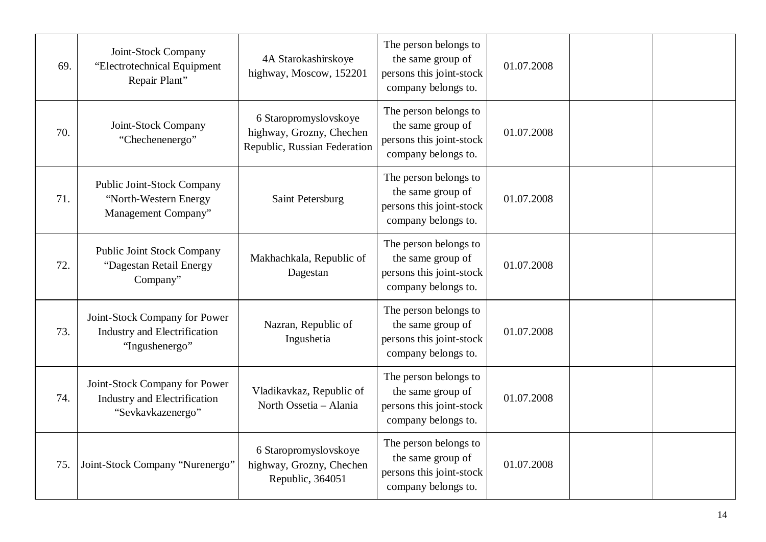| 69. | Joint-Stock Company<br>"Electrotechnical Equipment<br>Repair Plant"                    | 4A Starokashirskoye<br>highway, Moscow, 152201                                    | The person belongs to<br>the same group of<br>persons this joint-stock<br>company belongs to. | 01.07.2008 |  |
|-----|----------------------------------------------------------------------------------------|-----------------------------------------------------------------------------------|-----------------------------------------------------------------------------------------------|------------|--|
| 70. | Joint-Stock Company<br>"Chechenenergo"                                                 | 6 Staropromyslovskoye<br>highway, Grozny, Chechen<br>Republic, Russian Federation | The person belongs to<br>the same group of<br>persons this joint-stock<br>company belongs to. | 01.07.2008 |  |
| 71. | Public Joint-Stock Company<br>"North-Western Energy<br>Management Company"             | Saint Petersburg                                                                  | The person belongs to<br>the same group of<br>persons this joint-stock<br>company belongs to. | 01.07.2008 |  |
| 72. | <b>Public Joint Stock Company</b><br>"Dagestan Retail Energy<br>Company"               | Makhachkala, Republic of<br>Dagestan                                              | The person belongs to<br>the same group of<br>persons this joint-stock<br>company belongs to. | 01.07.2008 |  |
| 73. | Joint-Stock Company for Power<br><b>Industry and Electrification</b><br>"Ingushenergo" | Nazran, Republic of<br>Ingushetia                                                 | The person belongs to<br>the same group of<br>persons this joint-stock<br>company belongs to. | 01.07.2008 |  |
| 74. | Joint-Stock Company for Power<br>Industry and Electrification<br>"Sevkavkazenergo"     | Vladikavkaz, Republic of<br>North Ossetia - Alania                                | The person belongs to<br>the same group of<br>persons this joint-stock<br>company belongs to. | 01.07.2008 |  |
| 75. | Joint-Stock Company "Nurenergo"                                                        | 6 Staropromyslovskoye<br>highway, Grozny, Chechen<br>Republic, 364051             | The person belongs to<br>the same group of<br>persons this joint-stock<br>company belongs to. | 01.07.2008 |  |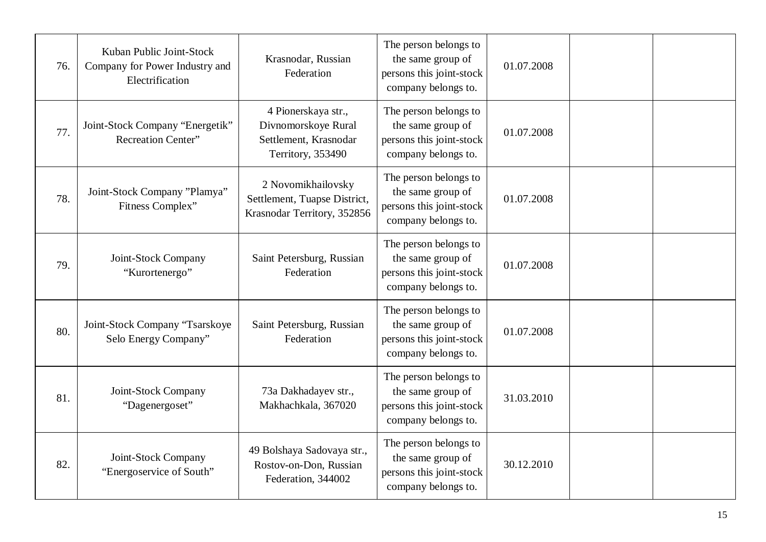| 76. | Kuban Public Joint-Stock<br>Company for Power Industry and<br>Electrification | Krasnodar, Russian<br>Federation                                                         | The person belongs to<br>the same group of<br>persons this joint-stock<br>company belongs to. | 01.07.2008 |  |
|-----|-------------------------------------------------------------------------------|------------------------------------------------------------------------------------------|-----------------------------------------------------------------------------------------------|------------|--|
| 77. | Joint-Stock Company "Energetik"<br>Recreation Center"                         | 4 Pionerskaya str.,<br>Divnomorskoye Rural<br>Settlement, Krasnodar<br>Territory, 353490 | The person belongs to<br>the same group of<br>persons this joint-stock<br>company belongs to. | 01.07.2008 |  |
| 78. | Joint-Stock Company "Plamya"<br>Fitness Complex"                              | 2 Novomikhailovsky<br>Settlement, Tuapse District,<br>Krasnodar Territory, 352856        | The person belongs to<br>the same group of<br>persons this joint-stock<br>company belongs to. | 01.07.2008 |  |
| 79. | Joint-Stock Company<br>"Kurortenergo"                                         | Saint Petersburg, Russian<br>Federation                                                  | The person belongs to<br>the same group of<br>persons this joint-stock<br>company belongs to. | 01.07.2008 |  |
| 80. | Joint-Stock Company "Tsarskoye<br>Selo Energy Company"                        | Saint Petersburg, Russian<br>Federation                                                  | The person belongs to<br>the same group of<br>persons this joint-stock<br>company belongs to. | 01.07.2008 |  |
| 81. | Joint-Stock Company<br>"Dagenergoset"                                         | 73a Dakhadayev str.,<br>Makhachkala, 367020                                              | The person belongs to<br>the same group of<br>persons this joint-stock<br>company belongs to. | 31.03.2010 |  |
| 82. | Joint-Stock Company<br>"Energoservice of South"                               | 49 Bolshaya Sadovaya str.,<br>Rostov-on-Don, Russian<br>Federation, 344002               | The person belongs to<br>the same group of<br>persons this joint-stock<br>company belongs to. | 30.12.2010 |  |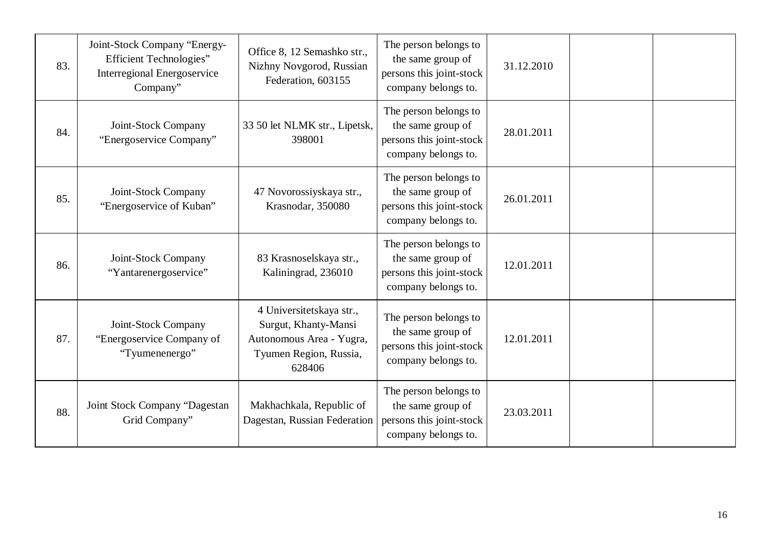| 83. | Joint-Stock Company "Energy-<br><b>Efficient Technologies</b> "<br><b>Interregional Energoservice</b><br>Company" | Office 8, 12 Semashko str.,<br>Nizhny Novgorod, Russian<br>Federation, 603155                                    | The person belongs to<br>the same group of<br>persons this joint-stock<br>company belongs to. | 31.12.2010 |  |
|-----|-------------------------------------------------------------------------------------------------------------------|------------------------------------------------------------------------------------------------------------------|-----------------------------------------------------------------------------------------------|------------|--|
| 84. | Joint-Stock Company<br>"Energoservice Company"                                                                    | 33 50 let NLMK str., Lipetsk,<br>398001                                                                          | The person belongs to<br>the same group of<br>persons this joint-stock<br>company belongs to. | 28.01.2011 |  |
| 85. | Joint-Stock Company<br>"Energoservice of Kuban"                                                                   | 47 Novorossiyskaya str.,<br>Krasnodar, 350080                                                                    | The person belongs to<br>the same group of<br>persons this joint-stock<br>company belongs to. | 26.01.2011 |  |
| 86. | Joint-Stock Company<br>"Yantarenergoservice"                                                                      | 83 Krasnoselskaya str.,<br>Kaliningrad, 236010                                                                   | The person belongs to<br>the same group of<br>persons this joint-stock<br>company belongs to. | 12.01.2011 |  |
| 87. | Joint-Stock Company<br>"Energoservice Company of<br>"Tyumenenergo"                                                | 4 Universitetskaya str.,<br>Surgut, Khanty-Mansi<br>Autonomous Area - Yugra,<br>Tyumen Region, Russia,<br>628406 | The person belongs to<br>the same group of<br>persons this joint-stock<br>company belongs to. | 12.01.2011 |  |
| 88. | Joint Stock Company "Dagestan<br>Grid Company"                                                                    | Makhachkala, Republic of<br>Dagestan, Russian Federation                                                         | The person belongs to<br>the same group of<br>persons this joint-stock<br>company belongs to. | 23.03.2011 |  |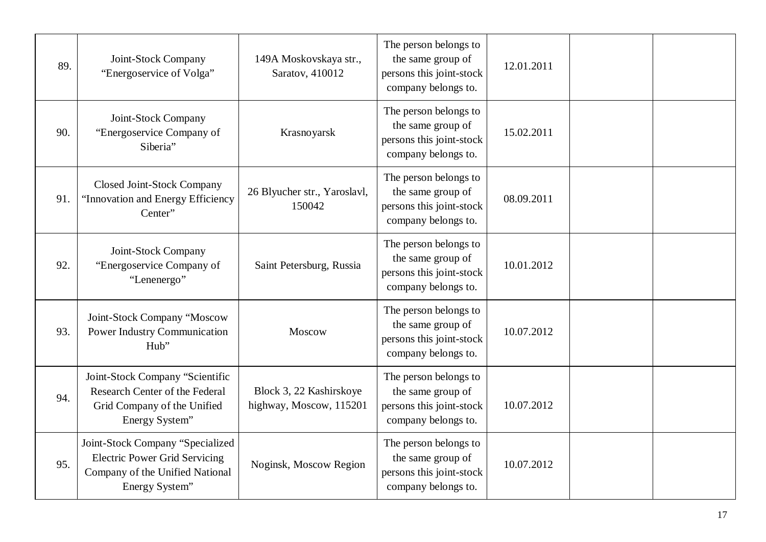| 89. | Joint-Stock Company<br>"Energoservice of Volga"                                                                               | 149A Moskovskaya str.,<br>Saratov, 410012          | The person belongs to<br>the same group of<br>persons this joint-stock<br>company belongs to. | 12.01.2011 |  |
|-----|-------------------------------------------------------------------------------------------------------------------------------|----------------------------------------------------|-----------------------------------------------------------------------------------------------|------------|--|
| 90. | Joint-Stock Company<br>"Energoservice Company of<br>Siberia"                                                                  | Krasnoyarsk                                        | The person belongs to<br>the same group of<br>persons this joint-stock<br>company belongs to. | 15.02.2011 |  |
| 91. | <b>Closed Joint-Stock Company</b><br>"Innovation and Energy Efficiency<br>Center"                                             | 26 Blyucher str., Yaroslavl,<br>150042             | The person belongs to<br>the same group of<br>persons this joint-stock<br>company belongs to. | 08.09.2011 |  |
| 92. | Joint-Stock Company<br>"Energoservice Company of<br>"Lenenergo"                                                               | Saint Petersburg, Russia                           | The person belongs to<br>the same group of<br>persons this joint-stock<br>company belongs to. | 10.01.2012 |  |
| 93. | Joint-Stock Company "Moscow<br><b>Power Industry Communication</b><br>Hub"                                                    | Moscow                                             | The person belongs to<br>the same group of<br>persons this joint-stock<br>company belongs to. | 10.07.2012 |  |
| 94. | Joint-Stock Company "Scientific<br>Research Center of the Federal<br>Grid Company of the Unified<br>Energy System"            | Block 3, 22 Kashirskoye<br>highway, Moscow, 115201 | The person belongs to<br>the same group of<br>persons this joint-stock<br>company belongs to. | 10.07.2012 |  |
| 95. | Joint-Stock Company "Specialized<br><b>Electric Power Grid Servicing</b><br>Company of the Unified National<br>Energy System" | Noginsk, Moscow Region                             | The person belongs to<br>the same group of<br>persons this joint-stock<br>company belongs to. | 10.07.2012 |  |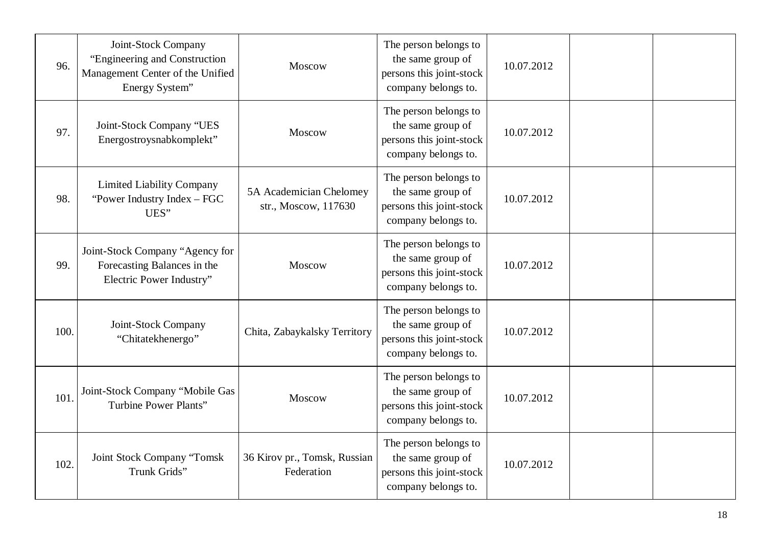| 96.  | Joint-Stock Company<br>"Engineering and Construction"<br>Management Center of the Unified<br>Energy System" | Moscow                                          | The person belongs to<br>the same group of<br>persons this joint-stock<br>company belongs to. | 10.07.2012 |  |
|------|-------------------------------------------------------------------------------------------------------------|-------------------------------------------------|-----------------------------------------------------------------------------------------------|------------|--|
| 97.  | Joint-Stock Company "UES<br>Energostroysnabkomplekt"                                                        | Moscow                                          | The person belongs to<br>the same group of<br>persons this joint-stock<br>company belongs to. | 10.07.2012 |  |
| 98.  | <b>Limited Liability Company</b><br>"Power Industry Index - FGC<br>UES"                                     | 5A Academician Chelomey<br>str., Moscow, 117630 | The person belongs to<br>the same group of<br>persons this joint-stock<br>company belongs to. | 10.07.2012 |  |
| 99.  | Joint-Stock Company "Agency for<br>Forecasting Balances in the<br>Electric Power Industry"                  | Moscow                                          | The person belongs to<br>the same group of<br>persons this joint-stock<br>company belongs to. | 10.07.2012 |  |
| 100. | Joint-Stock Company<br>"Chitatekhenergo"                                                                    | Chita, Zabaykalsky Territory                    | The person belongs to<br>the same group of<br>persons this joint-stock<br>company belongs to. | 10.07.2012 |  |
| 101  | Joint-Stock Company "Mobile Gas<br><b>Turbine Power Plants"</b>                                             | Moscow                                          | The person belongs to<br>the same group of<br>persons this joint-stock<br>company belongs to. | 10.07.2012 |  |
| 102  | Joint Stock Company "Tomsk<br>Trunk Grids"                                                                  | 36 Kirov pr., Tomsk, Russian<br>Federation      | The person belongs to<br>the same group of<br>persons this joint-stock<br>company belongs to. | 10.07.2012 |  |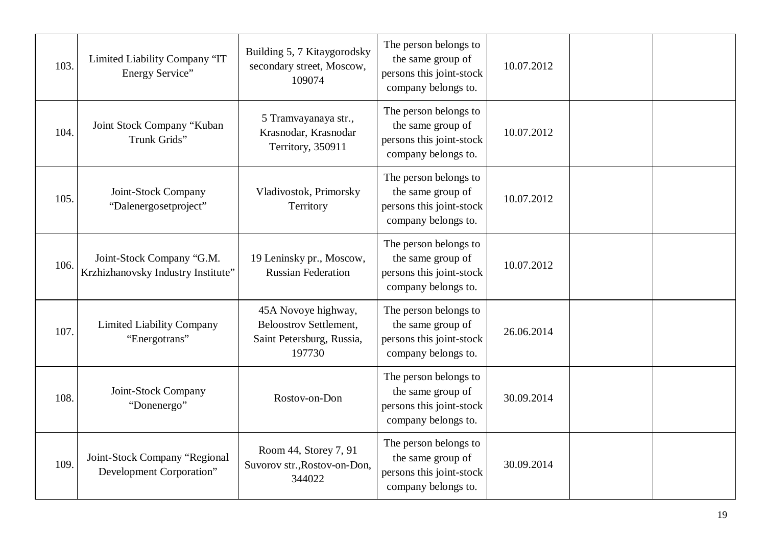| 103. | Limited Liability Company "IT<br>Energy Service"                | Building 5, 7 Kitaygorodsky<br>secondary street, Moscow,<br>109074                          | The person belongs to<br>the same group of<br>persons this joint-stock<br>company belongs to. | 10.07.2012 |  |
|------|-----------------------------------------------------------------|---------------------------------------------------------------------------------------------|-----------------------------------------------------------------------------------------------|------------|--|
| 104. | Joint Stock Company "Kuban<br>Trunk Grids"                      | 5 Tramvayanaya str.,<br>Krasnodar, Krasnodar<br>Territory, 350911                           | The person belongs to<br>the same group of<br>persons this joint-stock<br>company belongs to. | 10.07.2012 |  |
| 105. | Joint-Stock Company<br>"Dalenergosetproject"                    | Vladivostok, Primorsky<br>Territory                                                         | The person belongs to<br>the same group of<br>persons this joint-stock<br>company belongs to. | 10.07.2012 |  |
| 106. | Joint-Stock Company "G.M.<br>Krzhizhanovsky Industry Institute" | 19 Leninsky pr., Moscow,<br><b>Russian Federation</b>                                       | The person belongs to<br>the same group of<br>persons this joint-stock<br>company belongs to. | 10.07.2012 |  |
| 107. | <b>Limited Liability Company</b><br>"Energotrans"               | 45A Novoye highway,<br><b>Beloostrov Settlement,</b><br>Saint Petersburg, Russia,<br>197730 | The person belongs to<br>the same group of<br>persons this joint-stock<br>company belongs to. | 26.06.2014 |  |
| 108. | Joint-Stock Company<br>"Donenergo"                              | Rostov-on-Don                                                                               | The person belongs to<br>the same group of<br>persons this joint-stock<br>company belongs to. | 30.09.2014 |  |
| 109. | Joint-Stock Company "Regional<br>Development Corporation"       | Room 44, Storey 7, 91<br>Suvorov str., Rostov-on-Don,<br>344022                             | The person belongs to<br>the same group of<br>persons this joint-stock<br>company belongs to. | 30.09.2014 |  |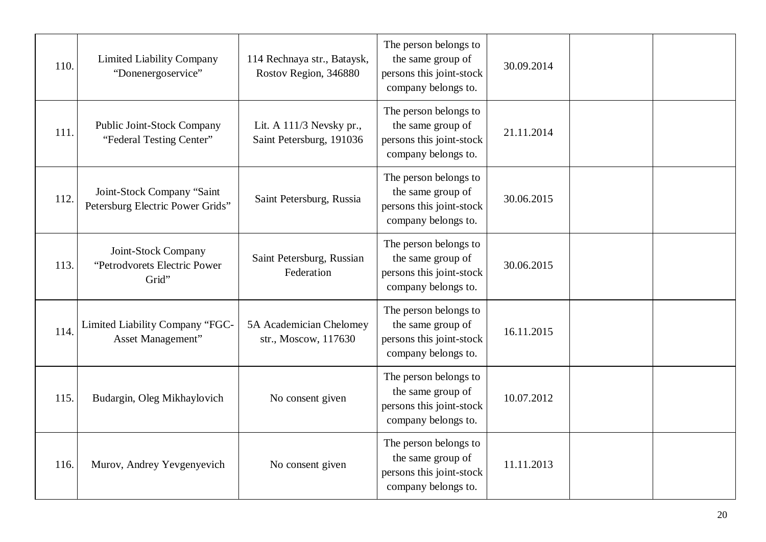| 110. | <b>Limited Liability Company</b><br>"Donenergoservice"         | 114 Rechnaya str., Bataysk,<br>Rostov Region, 346880   | The person belongs to<br>the same group of<br>persons this joint-stock<br>company belongs to. | 30.09.2014 |  |
|------|----------------------------------------------------------------|--------------------------------------------------------|-----------------------------------------------------------------------------------------------|------------|--|
| 111. | Public Joint-Stock Company<br>"Federal Testing Center"         | Lit. A $111/3$ Nevsky pr.,<br>Saint Petersburg, 191036 | The person belongs to<br>the same group of<br>persons this joint-stock<br>company belongs to. | 21.11.2014 |  |
| 112. | Joint-Stock Company "Saint<br>Petersburg Electric Power Grids" | Saint Petersburg, Russia                               | The person belongs to<br>the same group of<br>persons this joint-stock<br>company belongs to. | 30.06.2015 |  |
| 113. | Joint-Stock Company<br>"Petrodyorets Electric Power<br>Grid"   | Saint Petersburg, Russian<br>Federation                | The person belongs to<br>the same group of<br>persons this joint-stock<br>company belongs to. | 30.06.2015 |  |
| 114. | Limited Liability Company "FGC-<br>Asset Management"           | 5A Academician Chelomey<br>str., Moscow, 117630        | The person belongs to<br>the same group of<br>persons this joint-stock<br>company belongs to. | 16.11.2015 |  |
| 115. | Budargin, Oleg Mikhaylovich                                    | No consent given                                       | The person belongs to<br>the same group of<br>persons this joint-stock<br>company belongs to. | 10.07.2012 |  |
| 116. | Murov, Andrey Yevgenyevich                                     | No consent given                                       | The person belongs to<br>the same group of<br>persons this joint-stock<br>company belongs to. | 11.11.2013 |  |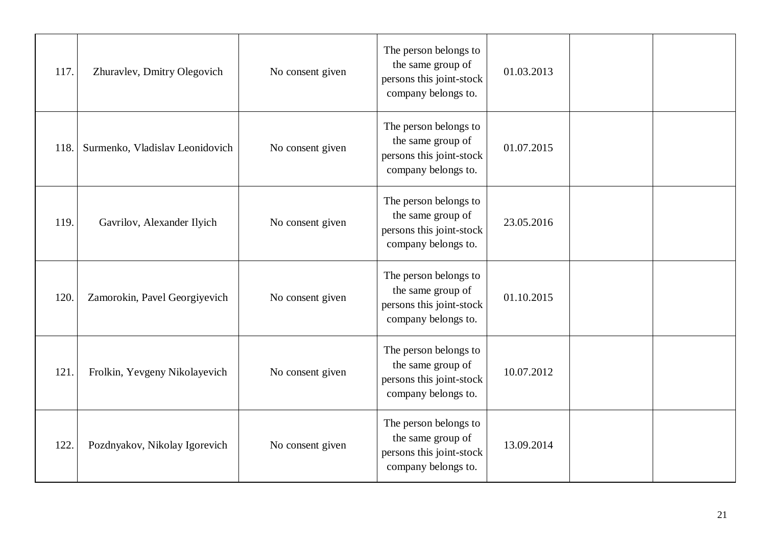| 117. | Zhuravlev, Dmitry Olegovich     | No consent given | The person belongs to<br>the same group of<br>persons this joint-stock<br>company belongs to. | 01.03.2013 |  |
|------|---------------------------------|------------------|-----------------------------------------------------------------------------------------------|------------|--|
| 118. | Surmenko, Vladislav Leonidovich | No consent given | The person belongs to<br>the same group of<br>persons this joint-stock<br>company belongs to. | 01.07.2015 |  |
| 119. | Gavrilov, Alexander Ilyich      | No consent given | The person belongs to<br>the same group of<br>persons this joint-stock<br>company belongs to. | 23.05.2016 |  |
| 120. | Zamorokin, Pavel Georgiyevich   | No consent given | The person belongs to<br>the same group of<br>persons this joint-stock<br>company belongs to. | 01.10.2015 |  |
| 121  | Frolkin, Yevgeny Nikolayevich   | No consent given | The person belongs to<br>the same group of<br>persons this joint-stock<br>company belongs to. | 10.07.2012 |  |
| 122. | Pozdnyakov, Nikolay Igorevich   | No consent given | The person belongs to<br>the same group of<br>persons this joint-stock<br>company belongs to. | 13.09.2014 |  |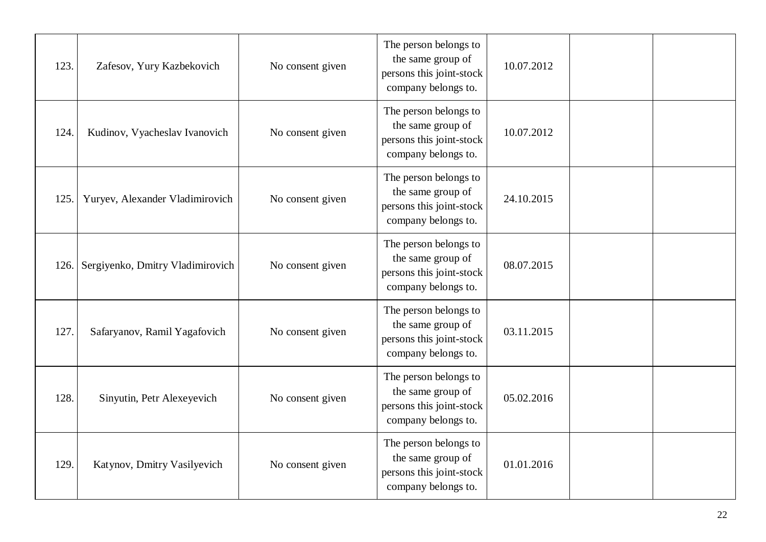| 123. | Zafesov, Yury Kazbekovich        | No consent given | The person belongs to<br>the same group of<br>persons this joint-stock<br>company belongs to. | 10.07.2012 |  |
|------|----------------------------------|------------------|-----------------------------------------------------------------------------------------------|------------|--|
| 124. | Kudinov, Vyacheslav Ivanovich    | No consent given | The person belongs to<br>the same group of<br>persons this joint-stock<br>company belongs to. | 10.07.2012 |  |
| 125. | Yuryev, Alexander Vladimirovich  | No consent given | The person belongs to<br>the same group of<br>persons this joint-stock<br>company belongs to. | 24.10.2015 |  |
| 126. | Sergiyenko, Dmitry Vladimirovich | No consent given | The person belongs to<br>the same group of<br>persons this joint-stock<br>company belongs to. | 08.07.2015 |  |
| 127. | Safaryanov, Ramil Yagafovich     | No consent given | The person belongs to<br>the same group of<br>persons this joint-stock<br>company belongs to. | 03.11.2015 |  |
| 128. | Sinyutin, Petr Alexeyevich       | No consent given | The person belongs to<br>the same group of<br>persons this joint-stock<br>company belongs to. | 05.02.2016 |  |
| 129. | Katynov, Dmitry Vasilyevich      | No consent given | The person belongs to<br>the same group of<br>persons this joint-stock<br>company belongs to. | 01.01.2016 |  |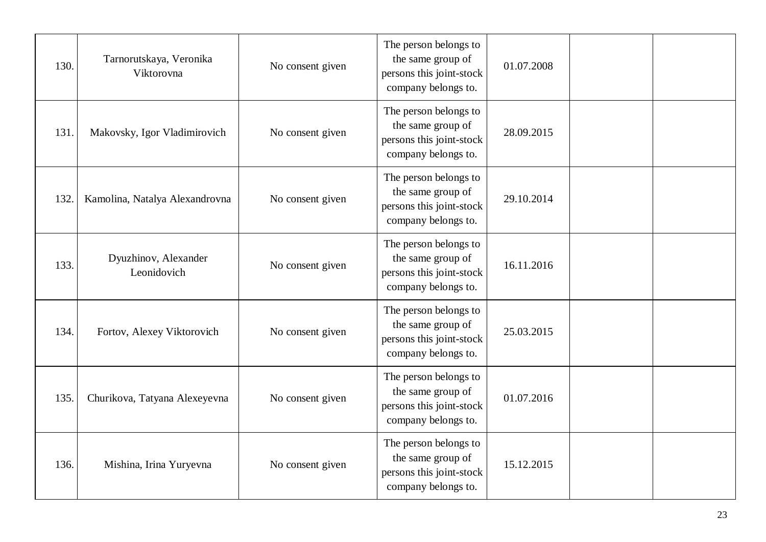| 130. | Tarnorutskaya, Veronika<br>Viktorovna | No consent given | The person belongs to<br>the same group of<br>persons this joint-stock<br>company belongs to. | 01.07.2008 |  |
|------|---------------------------------------|------------------|-----------------------------------------------------------------------------------------------|------------|--|
| 131. | Makovsky, Igor Vladimirovich          | No consent given | The person belongs to<br>the same group of<br>persons this joint-stock<br>company belongs to. | 28.09.2015 |  |
| 132. | Kamolina, Natalya Alexandrovna        | No consent given | The person belongs to<br>the same group of<br>persons this joint-stock<br>company belongs to. | 29.10.2014 |  |
| 133. | Dyuzhinov, Alexander<br>Leonidovich   | No consent given | The person belongs to<br>the same group of<br>persons this joint-stock<br>company belongs to. | 16.11.2016 |  |
| 134. | Fortov, Alexey Viktorovich            | No consent given | The person belongs to<br>the same group of<br>persons this joint-stock<br>company belongs to. | 25.03.2015 |  |
| 135. | Churikova, Tatyana Alexeyevna         | No consent given | The person belongs to<br>the same group of<br>persons this joint-stock<br>company belongs to. | 01.07.2016 |  |
| 136. | Mishina, Irina Yuryevna               | No consent given | The person belongs to<br>the same group of<br>persons this joint-stock<br>company belongs to. | 15.12.2015 |  |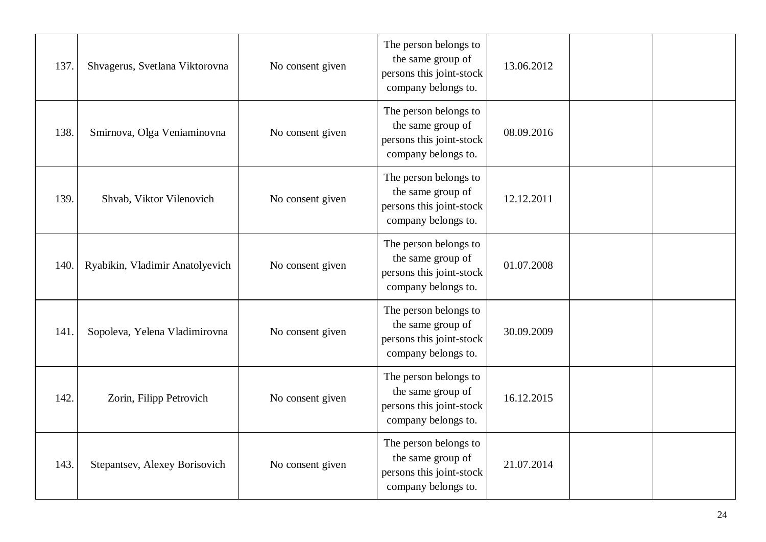| 137. | Shvagerus, Svetlana Viktorovna  | No consent given | The person belongs to<br>the same group of<br>persons this joint-stock<br>company belongs to. | 13.06.2012 |  |
|------|---------------------------------|------------------|-----------------------------------------------------------------------------------------------|------------|--|
| 138. | Smirnova, Olga Veniaminovna     | No consent given | The person belongs to<br>the same group of<br>persons this joint-stock<br>company belongs to. | 08.09.2016 |  |
| 139. | Shvab, Viktor Vilenovich        | No consent given | The person belongs to<br>the same group of<br>persons this joint-stock<br>company belongs to. | 12.12.2011 |  |
| 140. | Ryabikin, Vladimir Anatolyevich | No consent given | The person belongs to<br>the same group of<br>persons this joint-stock<br>company belongs to. | 01.07.2008 |  |
| 141. | Sopoleva, Yelena Vladimirovna   | No consent given | The person belongs to<br>the same group of<br>persons this joint-stock<br>company belongs to. | 30.09.2009 |  |
| 142. | Zorin, Filipp Petrovich         | No consent given | The person belongs to<br>the same group of<br>persons this joint-stock<br>company belongs to. | 16.12.2015 |  |
| 143. | Stepantsev, Alexey Borisovich   | No consent given | The person belongs to<br>the same group of<br>persons this joint-stock<br>company belongs to. | 21.07.2014 |  |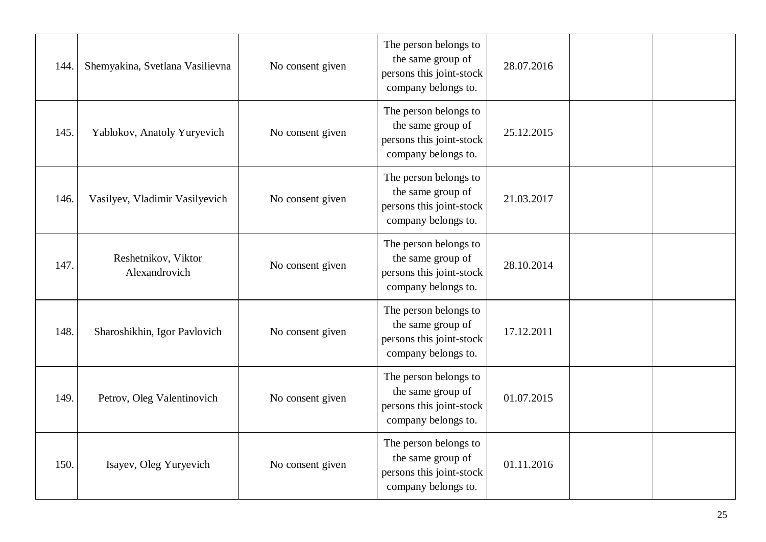| 144. | Shemyakina, Svetlana Vasilievna      | No consent given | The person belongs to<br>the same group of<br>persons this joint-stock<br>company belongs to. | 28.07.2016 |  |
|------|--------------------------------------|------------------|-----------------------------------------------------------------------------------------------|------------|--|
| 145. | Yablokov, Anatoly Yuryevich          | No consent given | The person belongs to<br>the same group of<br>persons this joint-stock<br>company belongs to. | 25.12.2015 |  |
| 146. | Vasilyev, Vladimir Vasilyevich       | No consent given | The person belongs to<br>the same group of<br>persons this joint-stock<br>company belongs to. | 21.03.2017 |  |
| 147. | Reshetnikov, Viktor<br>Alexandrovich | No consent given | The person belongs to<br>the same group of<br>persons this joint-stock<br>company belongs to. | 28.10.2014 |  |
| 148. | Sharoshikhin, Igor Pavlovich         | No consent given | The person belongs to<br>the same group of<br>persons this joint-stock<br>company belongs to. | 17.12.2011 |  |
| 149. | Petrov, Oleg Valentinovich           | No consent given | The person belongs to<br>the same group of<br>persons this joint-stock<br>company belongs to. | 01.07.2015 |  |
| 150. | Isayev, Oleg Yuryevich               | No consent given | The person belongs to<br>the same group of<br>persons this joint-stock<br>company belongs to. | 01.11.2016 |  |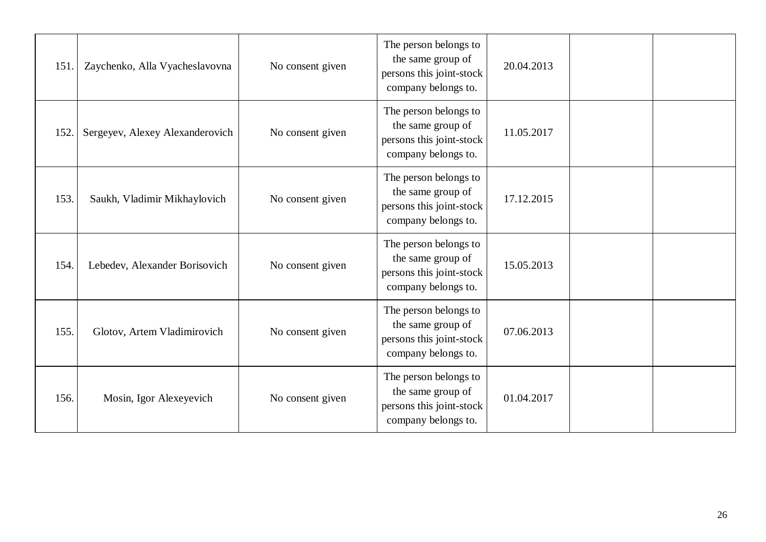| 151. | Zaychenko, Alla Vyacheslavovna  | No consent given | The person belongs to<br>the same group of<br>persons this joint-stock<br>company belongs to. | 20.04.2013 |  |
|------|---------------------------------|------------------|-----------------------------------------------------------------------------------------------|------------|--|
| 152. | Sergeyev, Alexey Alexanderovich | No consent given | The person belongs to<br>the same group of<br>persons this joint-stock<br>company belongs to. | 11.05.2017 |  |
| 153. | Saukh, Vladimir Mikhaylovich    | No consent given | The person belongs to<br>the same group of<br>persons this joint-stock<br>company belongs to. | 17.12.2015 |  |
| 154. | Lebedev, Alexander Borisovich   | No consent given | The person belongs to<br>the same group of<br>persons this joint-stock<br>company belongs to. | 15.05.2013 |  |
| 155. | Glotov, Artem Vladimirovich     | No consent given | The person belongs to<br>the same group of<br>persons this joint-stock<br>company belongs to. | 07.06.2013 |  |
| 156. | Mosin, Igor Alexeyevich         | No consent given | The person belongs to<br>the same group of<br>persons this joint-stock<br>company belongs to. | 01.04.2017 |  |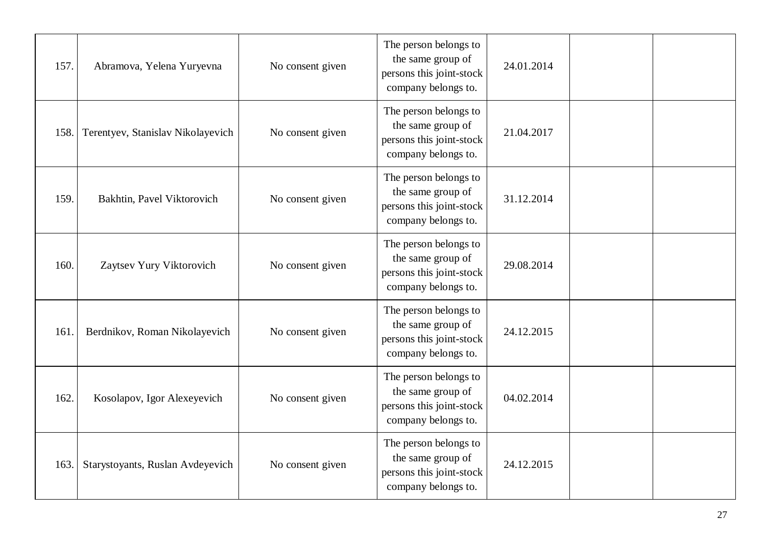| 157. | Abramova, Yelena Yuryevna         | No consent given | The person belongs to<br>the same group of<br>persons this joint-stock<br>company belongs to. | 24.01.2014 |  |
|------|-----------------------------------|------------------|-----------------------------------------------------------------------------------------------|------------|--|
| 158. | Terentyev, Stanislav Nikolayevich | No consent given | The person belongs to<br>the same group of<br>persons this joint-stock<br>company belongs to. | 21.04.2017 |  |
| 159. | Bakhtin, Pavel Viktorovich        | No consent given | The person belongs to<br>the same group of<br>persons this joint-stock<br>company belongs to. | 31.12.2014 |  |
| 160. | Zaytsev Yury Viktorovich          | No consent given | The person belongs to<br>the same group of<br>persons this joint-stock<br>company belongs to. | 29.08.2014 |  |
| 161. | Berdnikov, Roman Nikolayevich     | No consent given | The person belongs to<br>the same group of<br>persons this joint-stock<br>company belongs to. | 24.12.2015 |  |
| 162. | Kosolapov, Igor Alexeyevich       | No consent given | The person belongs to<br>the same group of<br>persons this joint-stock<br>company belongs to. | 04.02.2014 |  |
| 163. | Starystoyants, Ruslan Avdeyevich  | No consent given | The person belongs to<br>the same group of<br>persons this joint-stock<br>company belongs to. | 24.12.2015 |  |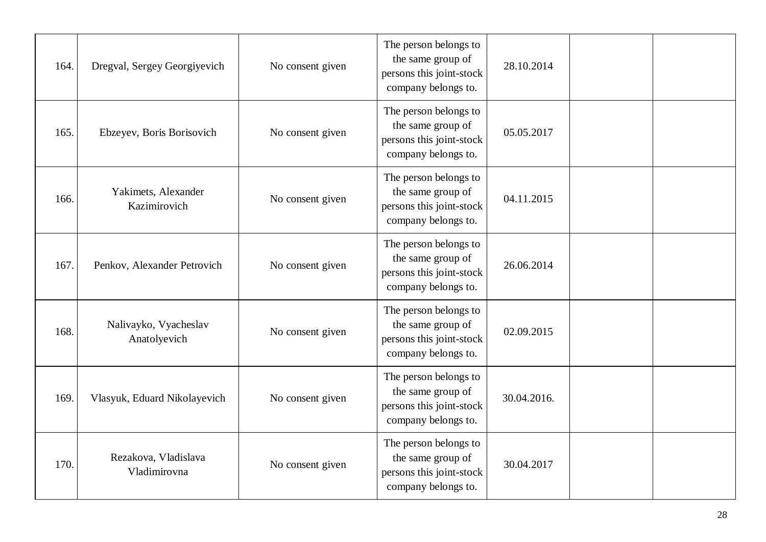| 164. | Dregval, Sergey Georgiyevich          | No consent given | The person belongs to<br>the same group of<br>persons this joint-stock<br>company belongs to. | 28.10.2014  |  |
|------|---------------------------------------|------------------|-----------------------------------------------------------------------------------------------|-------------|--|
| 165. | Ebzeyev, Boris Borisovich             | No consent given | The person belongs to<br>the same group of<br>persons this joint-stock<br>company belongs to. | 05.05.2017  |  |
| 166. | Yakimets, Alexander<br>Kazimirovich   | No consent given | The person belongs to<br>the same group of<br>persons this joint-stock<br>company belongs to. | 04.11.2015  |  |
| 167. | Penkov, Alexander Petrovich           | No consent given | The person belongs to<br>the same group of<br>persons this joint-stock<br>company belongs to. | 26.06.2014  |  |
| 168. | Nalivayko, Vyacheslav<br>Anatolyevich | No consent given | The person belongs to<br>the same group of<br>persons this joint-stock<br>company belongs to. | 02.09.2015  |  |
| 169. | Vlasyuk, Eduard Nikolayevich          | No consent given | The person belongs to<br>the same group of<br>persons this joint-stock<br>company belongs to. | 30.04.2016. |  |
| 170. | Rezakova, Vladislava<br>Vladimirovna  | No consent given | The person belongs to<br>the same group of<br>persons this joint-stock<br>company belongs to. | 30.04.2017  |  |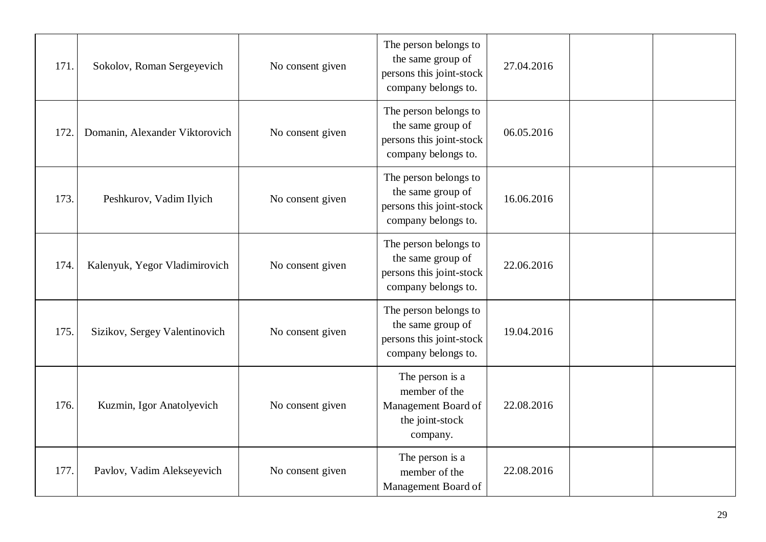| 171. | Sokolov, Roman Sergeyevich     | No consent given | The person belongs to<br>the same group of<br>persons this joint-stock<br>company belongs to. | 27.04.2016 |  |
|------|--------------------------------|------------------|-----------------------------------------------------------------------------------------------|------------|--|
| 172  | Domanin, Alexander Viktorovich | No consent given | The person belongs to<br>the same group of<br>persons this joint-stock<br>company belongs to. | 06.05.2016 |  |
| 173. | Peshkurov, Vadim Ilyich        | No consent given | The person belongs to<br>the same group of<br>persons this joint-stock<br>company belongs to. | 16.06.2016 |  |
| 174. | Kalenyuk, Yegor Vladimirovich  | No consent given | The person belongs to<br>the same group of<br>persons this joint-stock<br>company belongs to. | 22.06.2016 |  |
| 175. | Sizikov, Sergey Valentinovich  | No consent given | The person belongs to<br>the same group of<br>persons this joint-stock<br>company belongs to. | 19.04.2016 |  |
| 176. | Kuzmin, Igor Anatolyevich      | No consent given | The person is a<br>member of the<br>Management Board of<br>the joint-stock<br>company.        | 22.08.2016 |  |
| 177. | Pavlov, Vadim Alekseyevich     | No consent given | The person is a<br>member of the<br>Management Board of                                       | 22.08.2016 |  |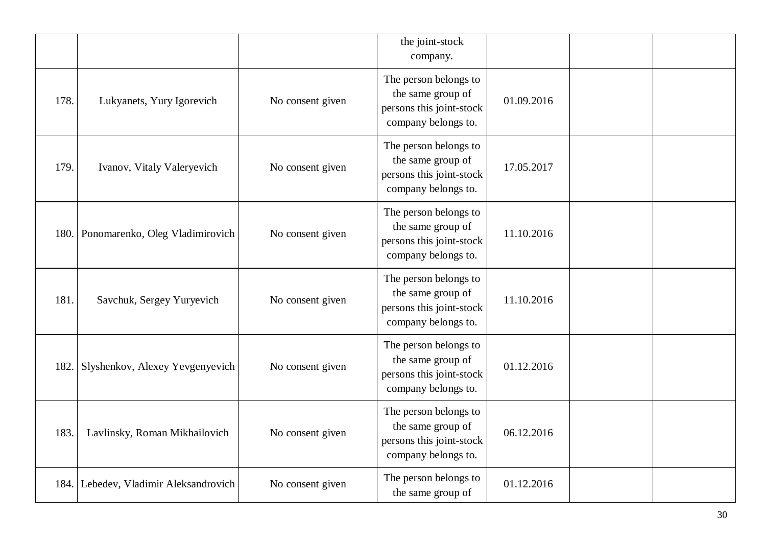|      |                                  |                  | the joint-stock<br>company.                                                                   |            |  |
|------|----------------------------------|------------------|-----------------------------------------------------------------------------------------------|------------|--|
| 178. | Lukyanets, Yury Igorevich        | No consent given | The person belongs to<br>the same group of<br>persons this joint-stock<br>company belongs to. | 01.09.2016 |  |
| 179. | Ivanov, Vitaly Valeryevich       | No consent given | The person belongs to<br>the same group of<br>persons this joint-stock<br>company belongs to. | 17.05.2017 |  |
| 180. | Ponomarenko, Oleg Vladimirovich  | No consent given | The person belongs to<br>the same group of<br>persons this joint-stock<br>company belongs to. | 11.10.2016 |  |
| 181. | Savchuk, Sergey Yuryevich        | No consent given | The person belongs to<br>the same group of<br>persons this joint-stock<br>company belongs to. | 11.10.2016 |  |
| 182. | Slyshenkov, Alexey Yevgenyevich  | No consent given | The person belongs to<br>the same group of<br>persons this joint-stock<br>company belongs to. | 01.12.2016 |  |
| 183. | Lavlinsky, Roman Mikhailovich    | No consent given | The person belongs to<br>the same group of<br>persons this joint-stock<br>company belongs to. | 06.12.2016 |  |
| 184. | Lebedev, Vladimir Aleksandrovich | No consent given | The person belongs to<br>the same group of                                                    | 01.12.2016 |  |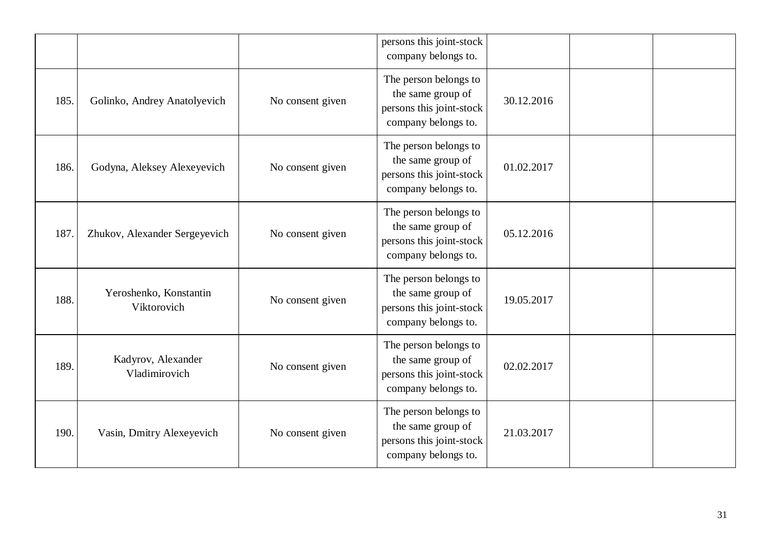|      |                                       |                  | persons this joint-stock<br>company belongs to.                                               |            |  |
|------|---------------------------------------|------------------|-----------------------------------------------------------------------------------------------|------------|--|
| 185. | Golinko, Andrey Anatolyevich          | No consent given | The person belongs to<br>the same group of<br>persons this joint-stock<br>company belongs to. | 30.12.2016 |  |
| 186. | Godyna, Aleksey Alexeyevich           | No consent given | The person belongs to<br>the same group of<br>persons this joint-stock<br>company belongs to. | 01.02.2017 |  |
| 187. | Zhukov, Alexander Sergeyevich         | No consent given | The person belongs to<br>the same group of<br>persons this joint-stock<br>company belongs to. | 05.12.2016 |  |
| 188. | Yeroshenko, Konstantin<br>Viktorovich | No consent given | The person belongs to<br>the same group of<br>persons this joint-stock<br>company belongs to. | 19.05.2017 |  |
| 189. | Kadyrov, Alexander<br>Vladimirovich   | No consent given | The person belongs to<br>the same group of<br>persons this joint-stock<br>company belongs to. | 02.02.2017 |  |
| 190. | Vasin, Dmitry Alexeyevich             | No consent given | The person belongs to<br>the same group of<br>persons this joint-stock<br>company belongs to. | 21.03.2017 |  |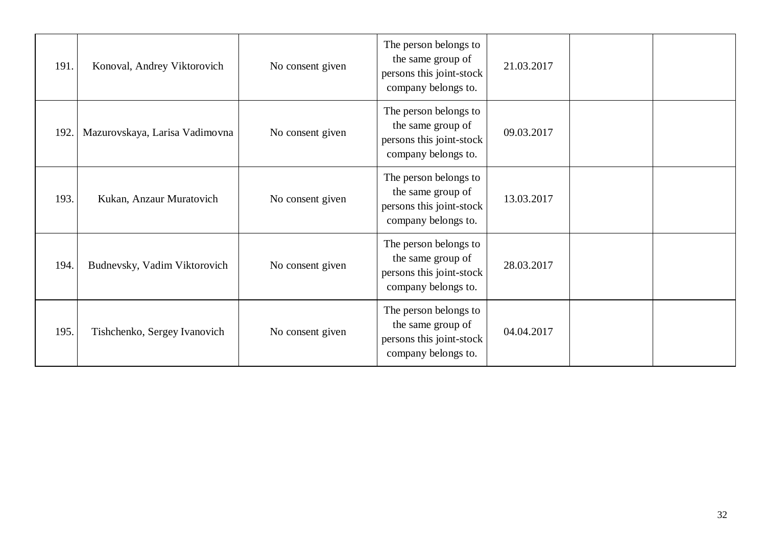| 191. | Konoval, Andrey Viktorovich    | No consent given | The person belongs to<br>the same group of<br>persons this joint-stock<br>company belongs to. | 21.03.2017 |  |
|------|--------------------------------|------------------|-----------------------------------------------------------------------------------------------|------------|--|
| 192. | Mazurovskaya, Larisa Vadimovna | No consent given | The person belongs to<br>the same group of<br>persons this joint-stock<br>company belongs to. | 09.03.2017 |  |
| 193. | Kukan, Anzaur Muratovich       | No consent given | The person belongs to<br>the same group of<br>persons this joint-stock<br>company belongs to. | 13.03.2017 |  |
| 194. | Budnevsky, Vadim Viktorovich   | No consent given | The person belongs to<br>the same group of<br>persons this joint-stock<br>company belongs to. | 28.03.2017 |  |
| 195. | Tishchenko, Sergey Ivanovich   | No consent given | The person belongs to<br>the same group of<br>persons this joint-stock<br>company belongs to. | 04.04.2017 |  |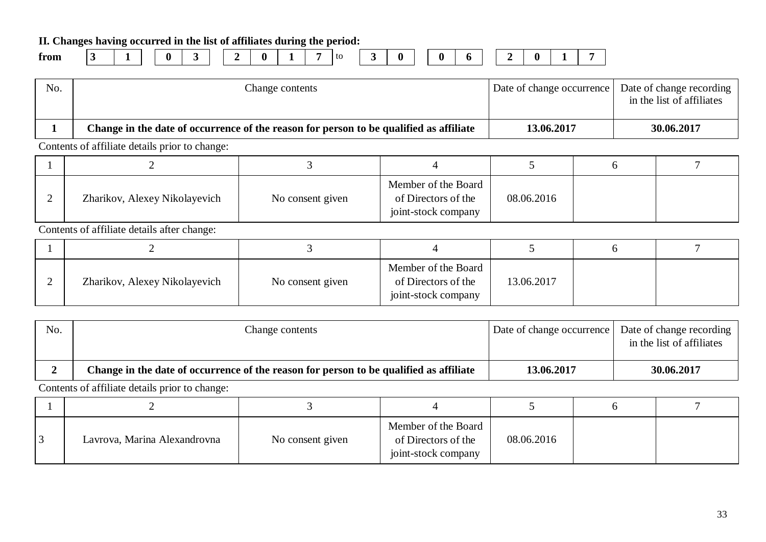**II. Changes having occurred in the list of affiliates during the period:**

| Trom |  |
|------|--|
|------|--|

**from 3 1 0 3 2 0 1 7** to **3 0 0 6 2 0 1 7**

| No. | Change contents                                                                        | Date of change occurrence   Date of change recording | in the list of affiliates |
|-----|----------------------------------------------------------------------------------------|------------------------------------------------------|---------------------------|
|     | Change in the date of occurrence of the reason for person to be qualified as affiliate | 13.06.2017                                           | 30.06.2017                |

Contents of affiliate details prior to change:

| Zharikov, Alexey Nikolayevich | No consent given | Member of the Board<br>of Directors of the<br>joint-stock company | 08.06.2016 |  |
|-------------------------------|------------------|-------------------------------------------------------------------|------------|--|

Contents of affiliate details after change:

| Zharikov, Alexey Nikolayevich | No consent given | Member of the Board<br>of Directors of the<br>joint-stock company | 13.06.2017 |  |
|-------------------------------|------------------|-------------------------------------------------------------------|------------|--|

| No. | Change contents                                                                        | Date of change occurrence | Date of change recording<br>in the list of affiliates |
|-----|----------------------------------------------------------------------------------------|---------------------------|-------------------------------------------------------|
|     | Change in the date of occurrence of the reason for person to be qualified as affiliate | 13.06.2017                | 30.06.2017                                            |

| $\overline{3}$ | Lavrova, Marina Alexandrovna | No consent given | Member of the Board<br>of Directors of the<br>joint-stock company | 08.06.2016 |  |
|----------------|------------------------------|------------------|-------------------------------------------------------------------|------------|--|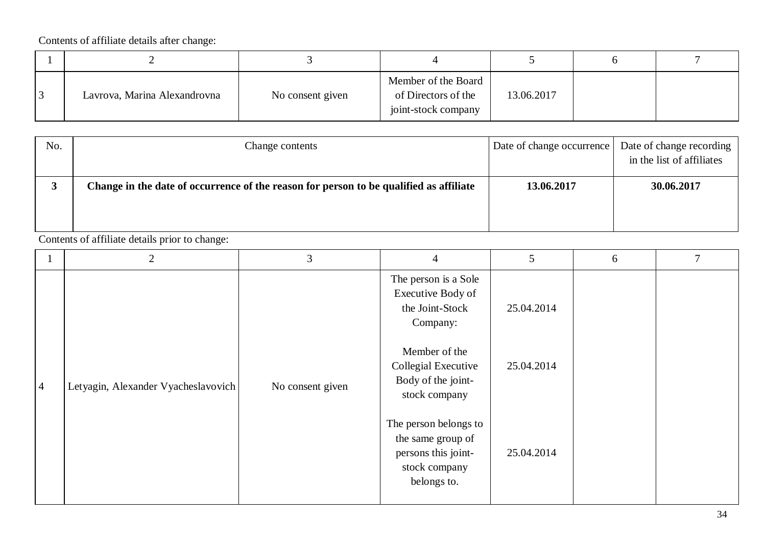| Lavrova, Marina Alexandrovna | No consent given | Member of the Board<br>of Directors of the<br>joint-stock company | 13.06.2017 |  |
|------------------------------|------------------|-------------------------------------------------------------------|------------|--|

| No. | Change contents                                                                        | Date of change occurrence | Date of change recording<br>in the list of affiliates |
|-----|----------------------------------------------------------------------------------------|---------------------------|-------------------------------------------------------|
|     | Change in the date of occurrence of the reason for person to be qualified as affiliate | 13.06.2017                | 30.06.2017                                            |
|     |                                                                                        |                           |                                                       |

|                | $\overline{2}$                      | 3                | $\overline{4}$                                                                                    | 5          | 6 |  |
|----------------|-------------------------------------|------------------|---------------------------------------------------------------------------------------------------|------------|---|--|
|                |                                     |                  | The person is a Sole<br>Executive Body of<br>the Joint-Stock<br>Company:                          | 25.04.2014 |   |  |
| $\overline{4}$ | Letyagin, Alexander Vyacheslavovich | No consent given | Member of the<br>Collegial Executive<br>Body of the joint-<br>stock company                       | 25.04.2014 |   |  |
|                |                                     |                  | The person belongs to<br>the same group of<br>persons this joint-<br>stock company<br>belongs to. | 25.04.2014 |   |  |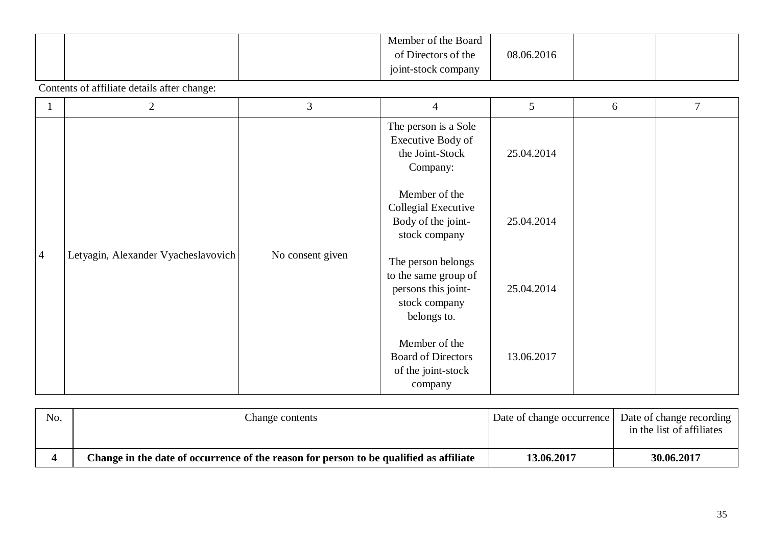|  | Member of the Board |            |  |
|--|---------------------|------------|--|
|  | of Directors of the | 08.06.2016 |  |
|  | joint-stock company |            |  |

|                | 2                                   | 3                | $\overline{4}$                                                                                    | 5          | 6 | 7 |
|----------------|-------------------------------------|------------------|---------------------------------------------------------------------------------------------------|------------|---|---|
|                |                                     |                  | The person is a Sole<br>Executive Body of<br>the Joint-Stock<br>Company:                          | 25.04.2014 |   |   |
|                |                                     |                  | Member of the<br>Collegial Executive<br>Body of the joint-<br>stock company                       | 25.04.2014 |   |   |
| $\overline{4}$ | Letyagin, Alexander Vyacheslavovich | No consent given | The person belongs<br>to the same group of<br>persons this joint-<br>stock company<br>belongs to. | 25.04.2014 |   |   |
|                |                                     |                  | Member of the<br><b>Board of Directors</b><br>of the joint-stock<br>company                       | 13.06.2017 |   |   |

| No. | Change contents                                                                        | Date of change occurrence   Date of change recording | in the list of affiliates |
|-----|----------------------------------------------------------------------------------------|------------------------------------------------------|---------------------------|
|     | Change in the date of occurrence of the reason for person to be qualified as affiliate | 13.06.2017                                           | 30.06.2017                |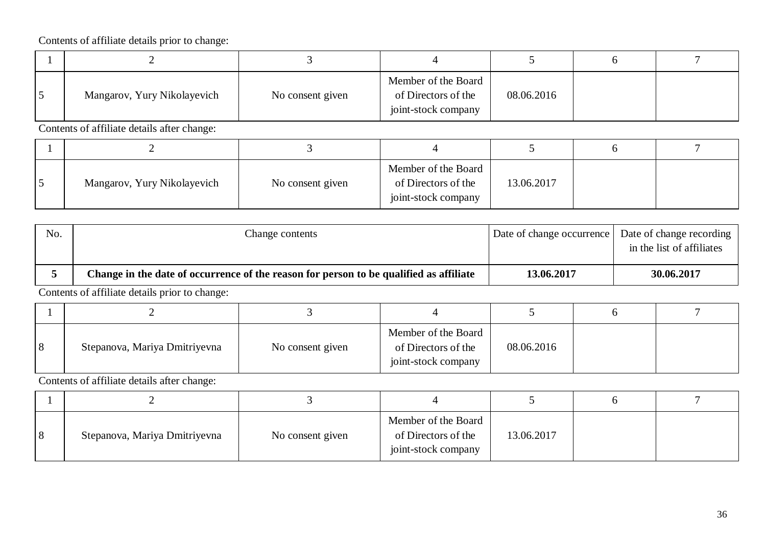| Mangarov, Yury Nikolayevich | No consent given | Member of the Board<br>of Directors of the<br>joint-stock company | 08.06.2016 |  |
|-----------------------------|------------------|-------------------------------------------------------------------|------------|--|

Contents of affiliate details after change:

| Mangarov, Yury Nikolayevich | No consent given | Member of the Board<br>of Directors of the<br>joint-stock company | 13.06.2017 |  |
|-----------------------------|------------------|-------------------------------------------------------------------|------------|--|

| No. | Change contents                                                                        |            | Date of change occurrence Date of change recording<br>in the list of affiliates |
|-----|----------------------------------------------------------------------------------------|------------|---------------------------------------------------------------------------------|
|     | Change in the date of occurrence of the reason for person to be qualified as affiliate | 13.06.2017 | 30.06.2017                                                                      |

Contents of affiliate details prior to change:

| 8 | Stepanova, Mariya Dmitriyevna | No consent given | Member of the Board<br>of Directors of the<br>joint-stock company | 08.06.2016 |  |
|---|-------------------------------|------------------|-------------------------------------------------------------------|------------|--|

| $\overline{8}$ | Stepanova, Mariya Dmitriyevna | No consent given | Member of the Board<br>of Directors of the<br>joint-stock company | 13.06.2017 |  |
|----------------|-------------------------------|------------------|-------------------------------------------------------------------|------------|--|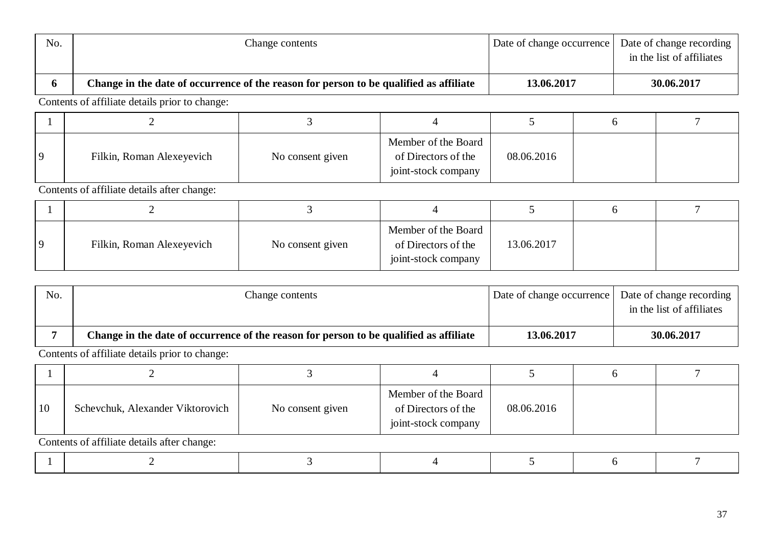| No. | Change contents                                                                        | Date of change occurrence   Date of change recording | in the list of affiliates |
|-----|----------------------------------------------------------------------------------------|------------------------------------------------------|---------------------------|
|     | Change in the date of occurrence of the reason for person to be qualified as affiliate | 13.06.2017                                           | 30.06.2017                |

| Filkin, Roman Alexeyevich | No consent given | Member of the Board<br>of Directors of the<br>joint-stock company | 08.06.2016 |  |
|---------------------------|------------------|-------------------------------------------------------------------|------------|--|

Contents of affiliate details after change:

| -                         |                  |                                                                   |            |  |
|---------------------------|------------------|-------------------------------------------------------------------|------------|--|
| Filkin, Roman Alexeyevich | No consent given | Member of the Board<br>of Directors of the<br>joint-stock company | 13.06.2017 |  |

| No. | Change contents                                                                        | Date of change occurrence Date of change recording |                           |
|-----|----------------------------------------------------------------------------------------|----------------------------------------------------|---------------------------|
|     |                                                                                        |                                                    | in the list of affiliates |
|     | Change in the date of occurrence of the reason for person to be qualified as affiliate | <b>13.06.2017</b>                                  | 30.06.2017                |

| 10 | Schevchuk, Alexander Viktorovich            | No consent given | Member of the Board<br>of Directors of the<br>joint-stock company | 08.06.2016 |  |  |  |  |  |
|----|---------------------------------------------|------------------|-------------------------------------------------------------------|------------|--|--|--|--|--|
|    | Contents of affiliate details after change: |                  |                                                                   |            |  |  |  |  |  |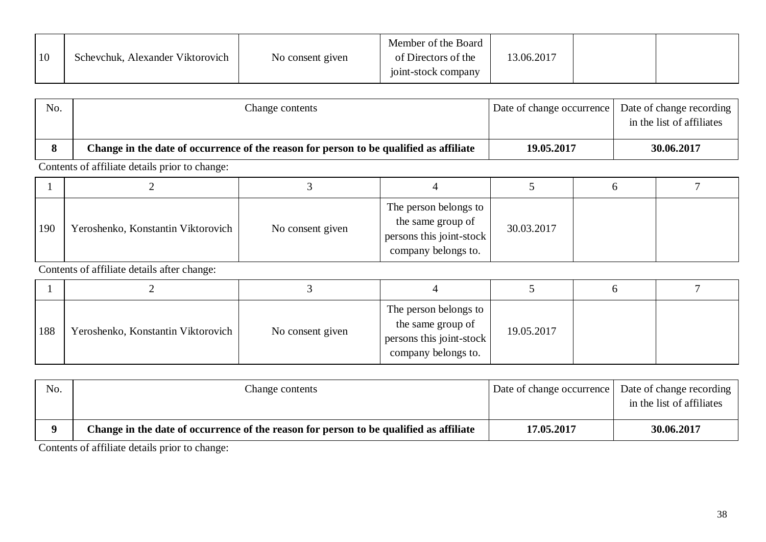| 10 | Schevchuk, Alexander Viktorovich | No consent given | Member of the Board<br>of Directors of the<br>joint-stock company | 13.06.2017 |  |  |
|----|----------------------------------|------------------|-------------------------------------------------------------------|------------|--|--|
|----|----------------------------------|------------------|-------------------------------------------------------------------|------------|--|--|

| No. | Change contents                                                                        | Date of change occurrence | Date of change recording<br>in the list of affiliates |
|-----|----------------------------------------------------------------------------------------|---------------------------|-------------------------------------------------------|
|     | Change in the date of occurrence of the reason for person to be qualified as affiliate | 19.05.2017                | 30.06.2017                                            |

| 190 | Yeroshenko, Konstantin Viktorovich | No consent given | The person belongs to<br>the same group of<br>persons this joint-stock<br>company belongs to. | 30.03.2017 |  |
|-----|------------------------------------|------------------|-----------------------------------------------------------------------------------------------|------------|--|

Contents of affiliate details after change:

| 188 | Yeroshenko, Konstantin Viktorovich | No consent given | The person belongs to<br>the same group of<br>persons this joint-stock<br>company belongs to. | 19.05.2017 |  |
|-----|------------------------------------|------------------|-----------------------------------------------------------------------------------------------|------------|--|

| No. | Change contents                                                                        | Date of change occurrence   Date of change recording | in the list of affiliates |
|-----|----------------------------------------------------------------------------------------|------------------------------------------------------|---------------------------|
|     | Change in the date of occurrence of the reason for person to be qualified as affiliate | 17.05.2017                                           | 30.06.2017                |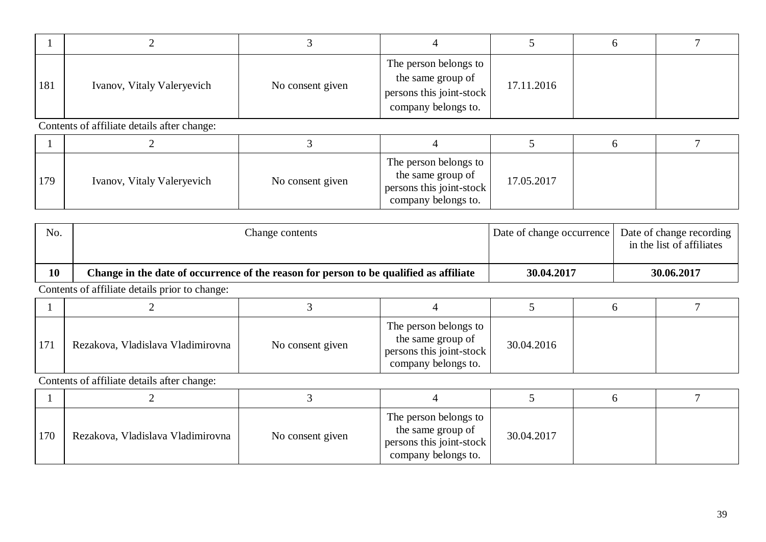| 181 | Ivanov, Vitaly Valeryevich | No consent given | The person belongs to<br>the same group of<br>persons this joint-stock<br>company belongs to. | 17.11.2016 |  |
|-----|----------------------------|------------------|-----------------------------------------------------------------------------------------------|------------|--|

| 179 | Ivanov, Vitaly Valeryevich | No consent given | The person belongs to<br>the same group of<br>persons this joint-stock<br>company belongs to. | 17.05.2017 |  |
|-----|----------------------------|------------------|-----------------------------------------------------------------------------------------------|------------|--|

| No. | Change contents                                                                        | Date of change occurrence   Date of change recording | in the list of affiliates |
|-----|----------------------------------------------------------------------------------------|------------------------------------------------------|---------------------------|
| 10  | Change in the date of occurrence of the reason for person to be qualified as affiliate | 30.04.2017                                           | 30.06.2017                |
|     |                                                                                        |                                                      |                           |

Contents of affiliate details prior to change:

| 171 | Rezakova, Vladislava Vladimirovna | No consent given | The person belongs to<br>the same group of<br>persons this joint-stock<br>company belongs to. | 30.04.2016 |  |
|-----|-----------------------------------|------------------|-----------------------------------------------------------------------------------------------|------------|--|

| 170 | Rezakova, Vladislava Vladimirovna | No consent given | The person belongs to<br>the same group of<br>persons this joint-stock<br>company belongs to. | 30.04.2017 |  |
|-----|-----------------------------------|------------------|-----------------------------------------------------------------------------------------------|------------|--|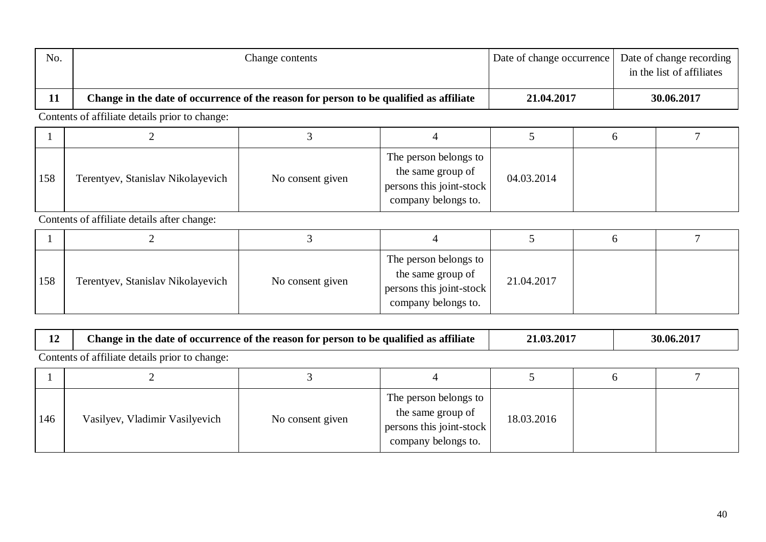| No. | Change contents                                                                        | Date of change occurrence   Date of change recording | in the list of affiliates |
|-----|----------------------------------------------------------------------------------------|------------------------------------------------------|---------------------------|
| 11  | Change in the date of occurrence of the reason for person to be qualified as affiliate | 21.04.2017                                           | 30.06.2017                |

| 158 | Terentyev, Stanislav Nikolayevich | No consent given | The person belongs to<br>the same group of<br>persons this joint-stock<br>company belongs to. | 04.03.2014 |  |
|-----|-----------------------------------|------------------|-----------------------------------------------------------------------------------------------|------------|--|

Contents of affiliate details after change:

| 158 | Terentyev, Stanislav Nikolayevich | No consent given | The person belongs to<br>the same group of<br>persons this joint-stock<br>company belongs to. | 21.04.2017 |  |
|-----|-----------------------------------|------------------|-----------------------------------------------------------------------------------------------|------------|--|

| Change in the date of occurrence of the reason for person to be qualified as affiliate | .03.201 | 30.06.2017 |  |  |  |  |  |
|----------------------------------------------------------------------------------------|---------|------------|--|--|--|--|--|
| Contents of affiliate details prior to change:                                         |         |            |  |  |  |  |  |

| 146 | Vasilyev, Vladimir Vasilyevich | No consent given | The person belongs to<br>the same group of<br>persons this joint-stock<br>company belongs to. | 18.03.2016 |  |
|-----|--------------------------------|------------------|-----------------------------------------------------------------------------------------------|------------|--|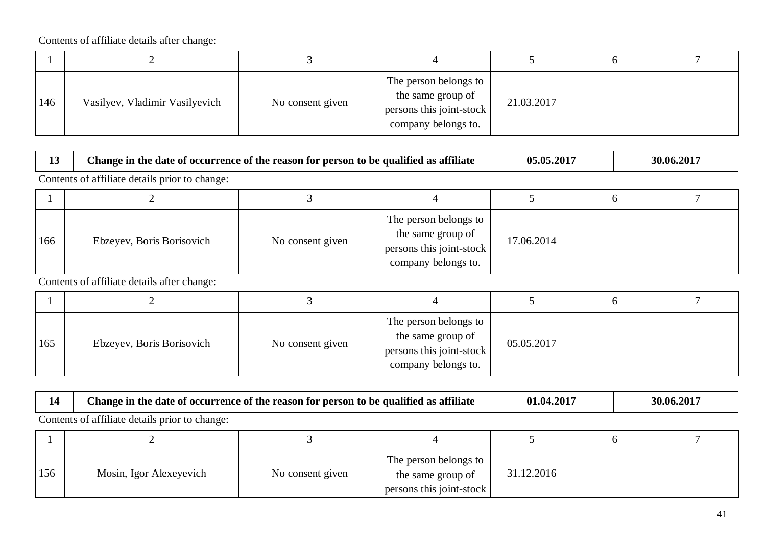| 146 | Vasilyev, Vladimir Vasilyevich | No consent given | The person belongs to<br>the same group of<br>persons this joint-stock<br>company belongs to. | 21.03.2017 |  |
|-----|--------------------------------|------------------|-----------------------------------------------------------------------------------------------|------------|--|

| ∸ | <b>GOO'T</b><br>$\blacksquare$<br>' person to be '<br>:hange in<br>t occurrence<br>-the<br>the reason for<br>. qualified as<br>; attılıato<br>date<br>: OI<br>- OI | 5.201<br>ብ-<br>∩ | 201<br>30.06.7<br>∠u |
|---|--------------------------------------------------------------------------------------------------------------------------------------------------------------------|------------------|----------------------|
|---|--------------------------------------------------------------------------------------------------------------------------------------------------------------------|------------------|----------------------|

Contents of affiliate details prior to change:

| 166 | Ebzeyev, Boris Borisovich | No consent given | The person belongs to<br>the same group of<br>persons this joint-stock<br>company belongs to. | 17.06.2014 |  |
|-----|---------------------------|------------------|-----------------------------------------------------------------------------------------------|------------|--|

| 165 | Ebzeyev, Boris Borisovich | No consent given | The person belongs to<br>the same group of<br>persons this joint-stock<br>company belongs to. | 05.05.2017 |  |
|-----|---------------------------|------------------|-----------------------------------------------------------------------------------------------|------------|--|

| . . | Change in the date of occurrence of the reason for person to be qualified as $\epsilon$ | 4.201 | .2017  |  |  |  |  |  |  |
|-----|-----------------------------------------------------------------------------------------|-------|--------|--|--|--|--|--|--|
|     | : attılıate                                                                             | .04   | 30.06. |  |  |  |  |  |  |
|     | Contents<br>e details prior to change:<br>, of affiliate                                |       |        |  |  |  |  |  |  |

| 156 | Mosin, Igor Alexeyevich | No consent given | The person belongs to<br>the same group of<br>persons this joint-stock | 31.12.2016 |  |
|-----|-------------------------|------------------|------------------------------------------------------------------------|------------|--|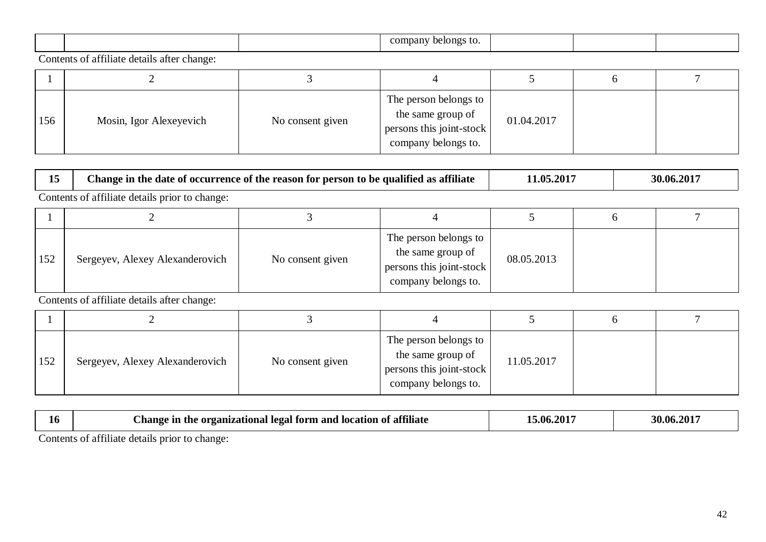|  | company<br>belongs<br>TO. |  |  |
|--|---------------------------|--|--|

 $\mathsf{r}$ 

| 156 | Mosin, Igor Alexeyevich | No consent given | The person belongs to<br>the same group of<br>persons this joint-stock<br>company belongs to. | 01.04.2017 |  |
|-----|-------------------------|------------------|-----------------------------------------------------------------------------------------------|------------|--|

| 15  | Change in the date of occurrence of the reason for person to be qualified as affiliate | 11.05.2017       |                                                                                               | 30.06.2017 |  |  |  |  |  |  |
|-----|----------------------------------------------------------------------------------------|------------------|-----------------------------------------------------------------------------------------------|------------|--|--|--|--|--|--|
|     | Contents of affiliate details prior to change:                                         |                  |                                                                                               |            |  |  |  |  |  |  |
|     |                                                                                        |                  |                                                                                               |            |  |  |  |  |  |  |
| 152 | Sergeyev, Alexey Alexanderovich                                                        | No consent given | The person belongs to<br>the same group of<br>persons this joint-stock<br>company belongs to. | 08.05.2013 |  |  |  |  |  |  |

Contents of affiliate details after change:

| 152 | Sergeyev, Alexey Alexanderovich | No consent given | The person belongs to<br>the same group of<br>persons this joint-stock<br>company belongs to. | 11.05.2017 |  |
|-----|---------------------------------|------------------|-----------------------------------------------------------------------------------------------|------------|--|

| 10.    | <b>0011</b><br>' form and<br>Anange<br>Hegal<br>organizational<br>the<br>attılıate a<br>l location of | .201'<br>5.06. | 0.201'<br>\$0.06 |  |  |  |  |
|--------|-------------------------------------------------------------------------------------------------------|----------------|------------------|--|--|--|--|
| $\sim$ | .                                                                                                     |                |                  |  |  |  |  |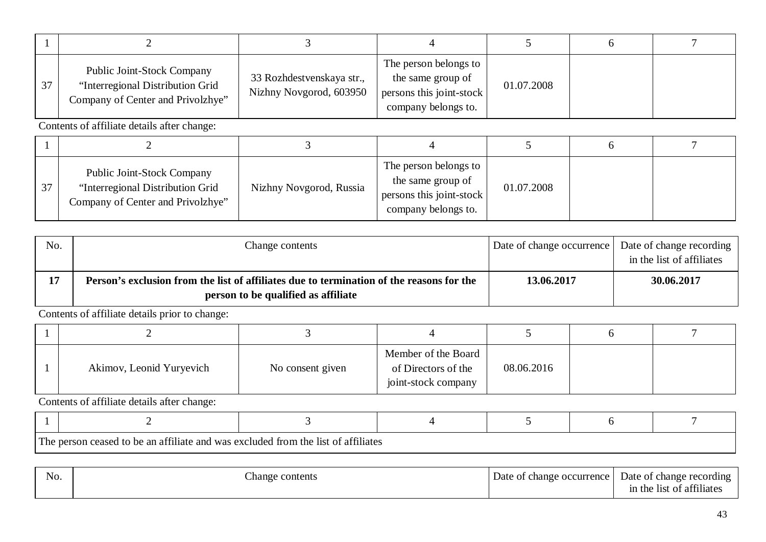| 37 | <b>Public Joint-Stock Company</b><br>"Interregional Distribution Grid<br>Company of Center and Privolzhye" | 33 Rozhdestvenskaya str.,<br>Nizhny Novgorod, 603950 | The person belongs to<br>the same group of<br>persons this joint-stock<br>company belongs to. | 01.07.2008 |  |  |  |  |  |
|----|------------------------------------------------------------------------------------------------------------|------------------------------------------------------|-----------------------------------------------------------------------------------------------|------------|--|--|--|--|--|
|    | Contents of affiliate details after change:                                                                |                                                      |                                                                                               |            |  |  |  |  |  |

| 37 | <b>Public Joint-Stock Company</b><br>"Interregional Distribution Grid"<br>Company of Center and Privolzhye" | Nizhny Novgorod, Russia | The person belongs to<br>the same group of<br>persons this joint-stock<br>company belongs to. | 01.07.2008 |  |
|----|-------------------------------------------------------------------------------------------------------------|-------------------------|-----------------------------------------------------------------------------------------------|------------|--|

| No. | Change contents                                                                                                                 | Date of change occurrence Date of change recording | in the list of affiliates |
|-----|---------------------------------------------------------------------------------------------------------------------------------|----------------------------------------------------|---------------------------|
|     | Person's exclusion from the list of affiliates due to termination of the reasons for the<br>person to be qualified as affiliate | 13.06.2017                                         | 30.06.2017                |

| Akimov, Leonid Yuryevich | No consent given | Member of the Board<br>of Directors of the<br>joint-stock company | 08.06.2016 |  |
|--------------------------|------------------|-------------------------------------------------------------------|------------|--|

Contents of affiliate details after change:

| The person ceased to be an affiliate and was excluded from the list<br>: ∩t attılıates |  |  |  |  |  |  |  |  |
|----------------------------------------------------------------------------------------|--|--|--|--|--|--|--|--|

The person ceased to be an affiliate and was excluded from the list of affiliates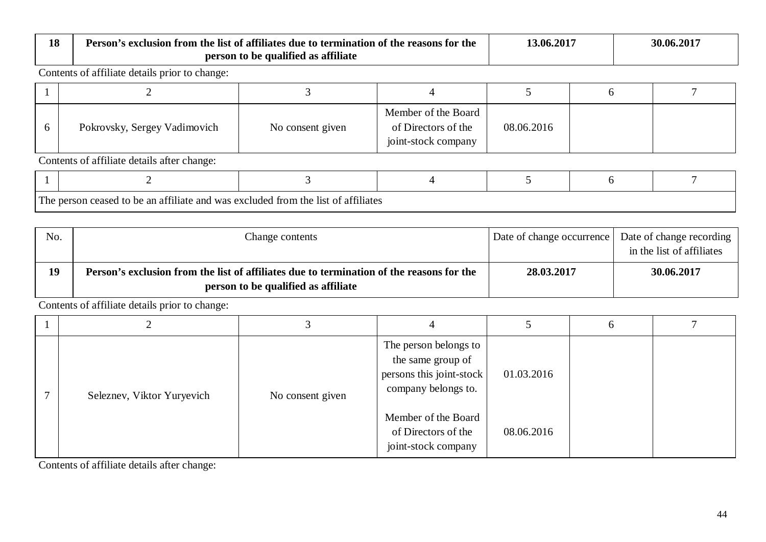| 18 | Person's exclusion from the list of affiliates due to termination of the reasons for the | person to be qualified as affiliate | 13.06.2017                                                        |            | 30.06.2017 |  |  |  |  |
|----|------------------------------------------------------------------------------------------|-------------------------------------|-------------------------------------------------------------------|------------|------------|--|--|--|--|
|    | Contents of affiliate details prior to change:                                           |                                     |                                                                   |            |            |  |  |  |  |
|    |                                                                                          |                                     |                                                                   |            |            |  |  |  |  |
| 6  | Pokrovsky, Sergey Vadimovich                                                             | No consent given                    | Member of the Board<br>of Directors of the<br>joint-stock company | 08.06.2016 |            |  |  |  |  |
|    | Contents of affiliate details after change:                                              |                                     |                                                                   |            |            |  |  |  |  |
|    |                                                                                          |                                     |                                                                   |            |            |  |  |  |  |
|    | The person ceased to be an affiliate and was excluded from the list of affiliates        |                                     |                                                                   |            |            |  |  |  |  |

| No. | Change contents                                                                                                                 | Date of change occurrence | Date of change recording<br>in the list of affiliates |
|-----|---------------------------------------------------------------------------------------------------------------------------------|---------------------------|-------------------------------------------------------|
| 19  | Person's exclusion from the list of affiliates due to termination of the reasons for the<br>person to be qualified as affiliate | 28.03.2017                | 30.06.2017                                            |

| Seleznev, Viktor Yuryevich<br>No consent given | The person belongs to<br>the same group of<br>persons this joint-stock<br>company belongs to. | 01.03.2016 |  |
|------------------------------------------------|-----------------------------------------------------------------------------------------------|------------|--|
|                                                | Member of the Board<br>of Directors of the<br>joint-stock company                             | 08.06.2016 |  |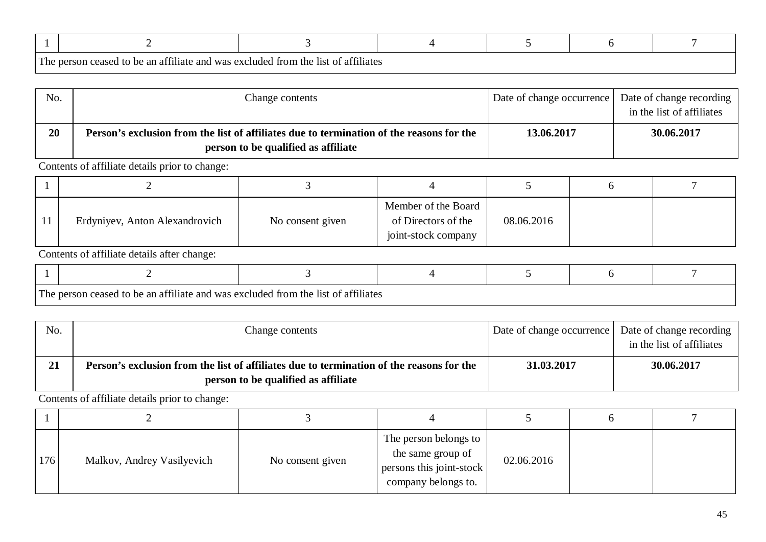| m.<br>1 he | exclude<br>the.<br>was<br>attuliates<br>an ar<br>t∩ he<br>†111ate ang<br>~SO1 |  |  |  |  |  |  |
|------------|-------------------------------------------------------------------------------|--|--|--|--|--|--|

| No. | Change contents                                                                                                                 | Date of change occurrence   Date of change recording | in the list of affiliates |
|-----|---------------------------------------------------------------------------------------------------------------------------------|------------------------------------------------------|---------------------------|
| 20  | Person's exclusion from the list of affiliates due to termination of the reasons for the<br>person to be qualified as affiliate | 13.06.2017                                           | 30.06.2017                |

| Erdyniyev, Anton Alexandrovich | No consent given | Member of the Board<br>of Directors of the<br>joint-stock company | 08.06.2016 |  |
|--------------------------------|------------------|-------------------------------------------------------------------|------------|--|

Contents of affiliate details after change:

| Tha | a an affiliate and was a<br>$h \Delta$<br>reaser<br>$+\circ$ | ີ ຕະນ<br>s excluded from the list of affiliates. |  |  |
|-----|--------------------------------------------------------------|--------------------------------------------------|--|--|

| No. | Change contents                                                                                                                 | Date of change occurrence | Date of change recording<br>in the list of affiliates |
|-----|---------------------------------------------------------------------------------------------------------------------------------|---------------------------|-------------------------------------------------------|
| 21  | Person's exclusion from the list of affiliates due to termination of the reasons for the<br>person to be qualified as affiliate | 31,03,2017                | 30.06.2017                                            |

| 176 | Malkov, Andrey Vasilyevich | No consent given | The person belongs to<br>the same group of<br>persons this joint-stock<br>company belongs to. | 02.06.2016 |  |
|-----|----------------------------|------------------|-----------------------------------------------------------------------------------------------|------------|--|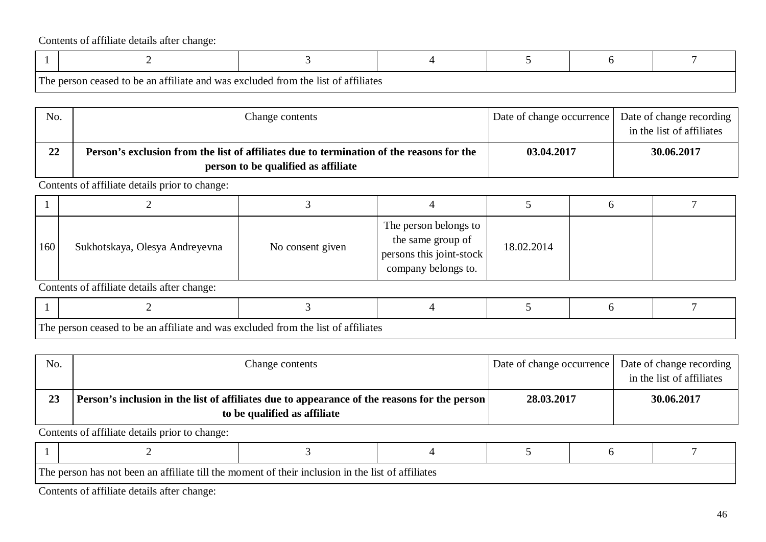| The | $\hat{ }$ be an attiliate and was excluded from $\hat{ }$ .<br>$\alpha$ | †h≙<br>t of attiliates.<br>- 11 C T |  |  |
|-----|-------------------------------------------------------------------------|-------------------------------------|--|--|

| No. | Change contents                                                                                                                 | Date of change occurrence | Date of change recording<br>in the list of affiliates |
|-----|---------------------------------------------------------------------------------------------------------------------------------|---------------------------|-------------------------------------------------------|
| 22  | Person's exclusion from the list of affiliates due to termination of the reasons for the<br>person to be qualified as affiliate | 03.04.2017                | 30.06.2017                                            |

Contents of affiliate details prior to change:

| 160 | Sukhotskaya, Olesya Andreyevna | No consent given | The person belongs to<br>the same group of<br>persons this joint-stock<br>company belongs to. | 18.02.2014 |  |
|-----|--------------------------------|------------------|-----------------------------------------------------------------------------------------------|------------|--|

Contents of affiliate details after change:

| l cont<br>ı ne | $\sim$ $\sim$ $\sim$<br>$\alpha$ an affiliate and was excluded from the list.<br>∣ f∩ he<br>cessed | .<br>of attiliates |  |  |
|----------------|----------------------------------------------------------------------------------------------------|--------------------|--|--|

| No. | Change contents                                                                                                              | Date of change occurrence | Date of change recording<br>in the list of affiliates |
|-----|------------------------------------------------------------------------------------------------------------------------------|---------------------------|-------------------------------------------------------|
| 23  | Person's inclusion in the list of affiliates due to appearance of the reasons for the person<br>to be qualified as affiliate | 28.03.2017                | 30.06.2017                                            |

Contents of affiliate details prior to change:

| l com<br>i në n | 0.021<br>has not<br>rson<br>- 1 N<br>าทเ<br>יי<br>шкин<br>.<br>.<br>. |  |  |  |  |  |  |  |  |  |
|-----------------|-----------------------------------------------------------------------|--|--|--|--|--|--|--|--|--|

the person has not been an affiliate till the moment of their inclusion in the list of affiliates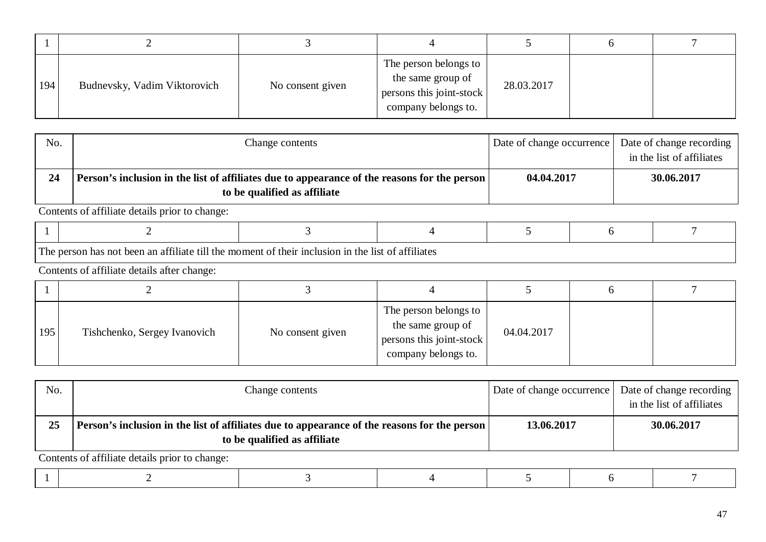| 194 | Budnevsky, Vadim Viktorovich | No consent given | The person belongs to<br>the same group of<br>persons this joint-stock<br>company belongs to. | 28.03.2017 |  |
|-----|------------------------------|------------------|-----------------------------------------------------------------------------------------------|------------|--|

| No. | Change contents                                                                                                              | Date of change occurrence | Date of change recording<br>in the list of affiliates |
|-----|------------------------------------------------------------------------------------------------------------------------------|---------------------------|-------------------------------------------------------|
| 24  | Person's inclusion in the list of affiliates due to appearance of the reasons for the person<br>to be qualified as affiliate | 04.04.2017                | 30.06.2017                                            |

| $\overline{ }$ |  |  |  |
|----------------|--|--|--|

The person has not been an affiliate till the moment of their inclusion in the list of affiliates

Contents of affiliate details after change:

| 195 | Tishchenko, Sergey Ivanovich | No consent given | The person belongs to<br>the same group of<br>persons this joint-stock<br>company belongs to. | 04.04.2017 |  |
|-----|------------------------------|------------------|-----------------------------------------------------------------------------------------------|------------|--|

| No. | Change contents                                                                                                              | Date of change occurrence | Date of change recording<br>in the list of affiliates |  |  |  |  |
|-----|------------------------------------------------------------------------------------------------------------------------------|---------------------------|-------------------------------------------------------|--|--|--|--|
| 25  | Person's inclusion in the list of affiliates due to appearance of the reasons for the person<br>to be qualified as affiliate | 13.06.2017                | 30.06.2017                                            |  |  |  |  |
|     | Contents of affiliate details prior to change.                                                                               |                           |                                                       |  |  |  |  |

|--|--|--|--|--|--|--|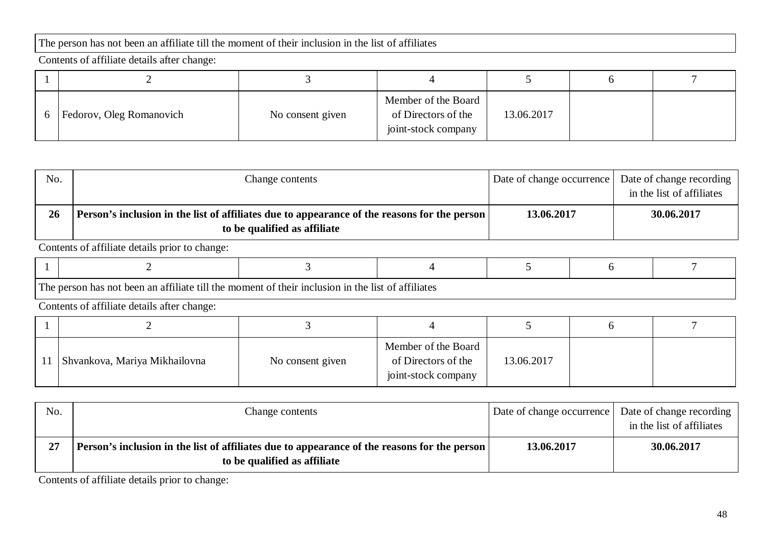## The person has not been an affiliate till the moment of their inclusion in the list of affiliates

Contents of affiliate details after change:

| Fedorov, Oleg Romanovich | No consent given | Member of the Board<br>of Directors of the<br>joint-stock company | 13.06.2017 |  |
|--------------------------|------------------|-------------------------------------------------------------------|------------|--|

| No. | Change contents                                                                                                                | Date of change occurrence | Date of change recording<br>in the list of affiliates |
|-----|--------------------------------------------------------------------------------------------------------------------------------|---------------------------|-------------------------------------------------------|
| 26  | Person's inclusion in the list of affiliates due to appearance of the reasons for the person  <br>to be qualified as affiliate | 13.06.2017                | 30.06.2017                                            |

Contents of affiliate details prior to change:

| $\mathbf{m}$ | been an affiliate till the moment of their inclusion in 1<br>$\sim$<br>of affiliates<br>th≙<br>$nn \alpha t$<br>- 11 01<br>. hac |  |  |  |  |  |  |  |  |
|--------------|----------------------------------------------------------------------------------------------------------------------------------|--|--|--|--|--|--|--|--|

Contents of affiliate details after change:

| Shvankova, Mariya Mikhailovna | No consent given | Member of the Board<br>of Directors of the<br>joint-stock company | 13.06.2017 |  |
|-------------------------------|------------------|-------------------------------------------------------------------|------------|--|

| No. | Change contents                                                                                                              |            | Date of change occurrence   Date of change recording  <br>in the list of affiliates |
|-----|------------------------------------------------------------------------------------------------------------------------------|------------|-------------------------------------------------------------------------------------|
| 27  | Person's inclusion in the list of affiliates due to appearance of the reasons for the person<br>to be qualified as affiliate | 13.06.2017 | 30.06.2017                                                                          |